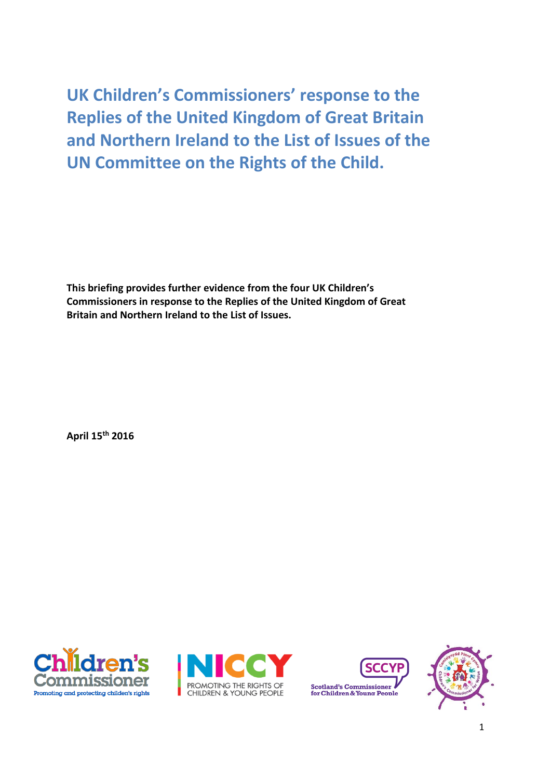**UK Children's Commissioners' response to the Replies of the United Kingdom of Great Britain and Northern Ireland to the List of Issues of the UN Committee on the Rights of the Child.**

**This briefing provides further evidence from the four UK Children's Commissioners in response to the Replies of the United Kingdom of Great Britain and Northern Ireland to the List of Issues.**

**April 15 th 2016**







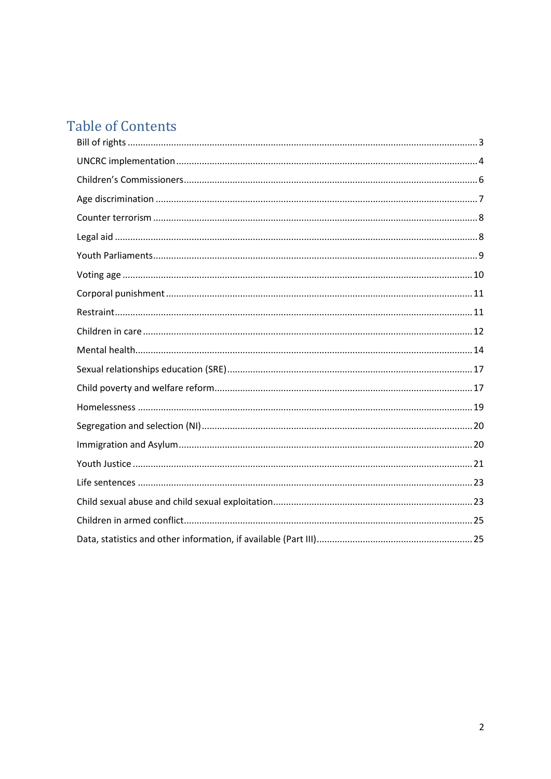# **Table of Contents**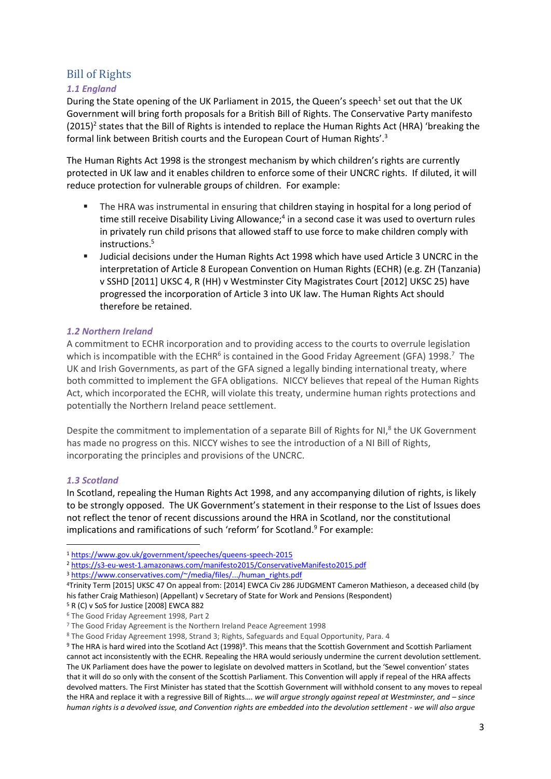# <span id="page-2-0"></span>Bill of Rights

# *1.1 England*

During the State opening of the UK Parliament in 2015, the Queen's speech<sup>1</sup> set out that the UK Government will bring forth proposals for a British Bill of Rights. The Conservative Party manifesto  $(2015)^2$  states that the Bill of Rights is intended to replace the Human Rights Act (HRA) 'breaking the formal link between British courts and the European Court of Human Rights'.<sup>3</sup>

The Human Rights Act 1998 is the strongest mechanism by which children's rights are currently protected in UK law and it enables children to enforce some of their UNCRC rights. If diluted, it will reduce protection for vulnerable groups of children. For example:

- The HRA was instrumental in ensuring that children staying in hospital for a long period of time still receive Disability Living Allowance;<sup>4</sup> in a second case it was used to overturn rules in privately run child prisons that allowed staff to use force to make children comply with instructions.<sup>5</sup>
- Judicial decisions under the Human Rights Act 1998 which have used Article 3 UNCRC in the interpretation of Article 8 European Convention on Human Rights (ECHR) (e.g. ZH (Tanzania) v SSHD [2011] UKSC 4, R (HH) v Westminster City Magistrates Court [2012] UKSC 25) have progressed the incorporation of Article 3 into UK law. The Human Rights Act should therefore be retained.

# *1.2 Northern Ireland*

A commitment to ECHR incorporation and to providing access to the courts to overrule legislation which is incompatible with the ECHR<sup>6</sup> is contained in the Good Friday Agreement (GFA) 1998.<sup>7</sup> The UK and Irish Governments, as part of the GFA signed a legally binding international treaty, where both committed to implement the GFA obligations. NICCY believes that repeal of the Human Rights Act, which incorporated the ECHR, will violate this treaty, undermine human rights protections and potentially the Northern Ireland peace settlement.

Despite the commitment to implementation of a separate Bill of Rights for NI,<sup>8</sup> the UK Government has made no progress on this. NICCY wishes to see the introduction of a NI Bill of Rights, incorporating the principles and provisions of the UNCRC.

# *1.3 Scotland*

1

In Scotland, repealing the Human Rights Act 1998, and any accompanying dilution of rights, is likely to be strongly opposed. The UK Government's statement in their response to the List of Issues does not reflect the tenor of recent discussions around the HRA in Scotland, nor the constitutional implications and ramifications of such 'reform' for Scotland. 9 For example:

<sup>2</sup> <https://s3-eu-west-1.amazonaws.com/manifesto2015/ConservativeManifesto2015.pdf>

<sup>3</sup> [https://www.conservatives.com/~/media/files/.../human\\_rights.pdf](https://www.conservatives.com/~/media/files/.../human_rights.pdf)

<sup>8</sup> The Good Friday Agreement 1998, Strand 3; Rights, Safeguards and Equal Opportunity, Para. 4

<sup>1</sup> <https://www.gov.uk/government/speeches/queens-speech-2015>

<sup>4</sup>Trinity Term [2015] UKSC 47 On appeal from: [2014] EWCA Civ 286 JUDGMENT Cameron Mathieson, a deceased child (by his father Craig Mathieson) (Appellant) v Secretary of State for Work and Pensions (Respondent)

<sup>5</sup> R (C) v SoS for Justice [2008] EWCA 882

<sup>6</sup> The Good Friday Agreement 1998, Part 2

<sup>7</sup> The Good Friday Agreement is the Northern Ireland Peace Agreement 1998

 $9$  The HRA is hard wired into the Scotland Act (1998) $9$ . This means that the Scottish Government and Scottish Parliament cannot act inconsistently with the ECHR. Repealing the HRA would seriously undermine the current devolution settlement. The UK Parliament does have the power to legislate on devolved matters in Scotland, but the 'Sewel convention' states that it will do so only with the consent of the Scottish Parliament. This Convention will apply if repeal of the HRA affects devolved matters. The First Minister has stated that the Scottish Government will withhold consent to any moves to repeal the HRA and replace it with a regressive Bill of Rights.... *we will argue strongly against repeal at Westminster, and - since human rights is a devolved issue, and Convention rights are embedded into the devolution settlement - we will also argue*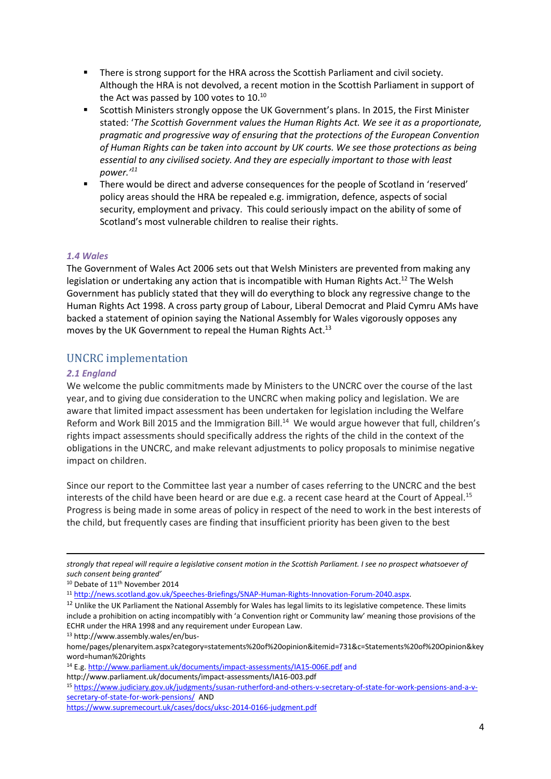- There is strong support for the HRA across the Scottish Parliament and civil society. Although the HRA is not devolved, a recent motion in the Scottish Parliament in support of the Act was passed by 100 votes to  $10^{10}$
- **Scottish Ministers strongly oppose the UK Government's plans. In 2015, the First Minister** stated: '*The Scottish Government values the Human Rights Act. We see it as a proportionate, pragmatic and progressive way of ensuring that the protections of the European Convention of Human Rights can be taken into account by UK courts. We see those protections as being essential to any civilised society. And they are especially important to those with least power.' 11*
- There would be direct and adverse consequences for the people of Scotland in 'reserved' policy areas should the HRA be repealed e.g. immigration, defence, aspects of social security, employment and privacy. This could seriously impact on the ability of some of Scotland's most vulnerable children to realise their rights.

### *1.4 Wales*

The Government of Wales Act 2006 sets out that Welsh Ministers are prevented from making any legislation or undertaking any action that is incompatible with Human Rights Act.<sup>12</sup> The Welsh Government has publicly stated that they will do everything to block any regressive change to the Human Rights Act 1998. A cross party group of Labour, Liberal Democrat and Plaid Cymru AMs have backed a statement of opinion saying the National Assembly for Wales vigorously opposes any moves by the UK Government to repeal the Human Rights Act.<sup>13</sup>

# <span id="page-3-0"></span>UNCRC implementation

### *2.1 England*

1

We welcome the public commitments made by Ministers to the UNCRC over the course of the last year, and to giving due consideration to the UNCRC when making policy and legislation. We are aware that limited impact assessment has been undertaken for legislation including the Welfare Reform and Work Bill 2015 and the Immigration Bill.<sup>14</sup> We would argue however that full, children's rights impact assessments should specifically address the rights of the child in the context of the obligations in the UNCRC, and make relevant adjustments to policy proposals to minimise negative impact on children.

Since our report to the Committee last year a number of cases referring to the UNCRC and the best interests of the child have been heard or are due e.g. a recent case heard at the Court of Appeal.<sup>15</sup> Progress is being made in some areas of policy in respect of the need to work in the best interests of the child, but frequently cases are finding that insufficient priority has been given to the best

*strongly that repeal will require a legislative consent motion in the Scottish Parliament. I see no prospect whatsoever of such consent being granted'*

<sup>11</sup> [http://news.scotland.gov.uk/Speeches-Briefings/SNAP-Human-Rights-Innovation-Forum-2040.aspx.](http://news.scotland.gov.uk/Speeches-Briefings/SNAP-Human-Rights-Innovation-Forum-2040.aspx)

<sup>10</sup> Debate of 11<sup>th</sup> November 2014

<sup>&</sup>lt;sup>12</sup> Unlike the UK Parliament the National Assembly for Wales has legal limits to its legislative competence. These limits include a prohibition on acting incompatibly with 'a Convention right or Community law' meaning those provisions of the ECHR under the HRA 1998 and any requirement under European Law.

<sup>13</sup> http://www.assembly.wales/en/bus-

home/pages/plenaryitem.aspx?category=statements%20of%20opinion&itemid=731&c=Statements%20of%20Opinion&key word=human%20rights

<sup>14</sup> E.g[. http://www.parliament.uk/documents/impact-assessments/IA15-006E.pdf](http://www.parliament.uk/documents/impact-assessments/IA15-006E.pdf) and

http://www.parliament.uk/documents/impact-assessments/IA16-003.pdf

<sup>15</sup> [https://www.judiciary.gov.uk/judgments/susan-rutherford-and-others-v-secretary-of-state-for-work-pensions-and-a-v](https://www.judiciary.gov.uk/judgments/susan-rutherford-and-others-v-secretary-of-state-for-work-pensions-and-a-v-secretary-of-state-for-work-pensions/)[secretary-of-state-for-work-pensions/](https://www.judiciary.gov.uk/judgments/susan-rutherford-and-others-v-secretary-of-state-for-work-pensions-and-a-v-secretary-of-state-for-work-pensions/) AND

<https://www.supremecourt.uk/cases/docs/uksc-2014-0166-judgment.pdf>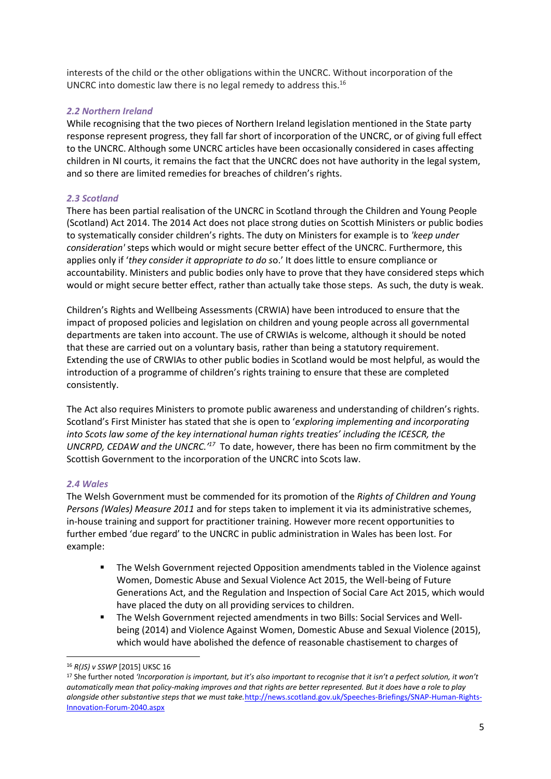interests of the child or the other obligations within the UNCRC. Without incorporation of the UNCRC into domestic law there is no legal remedy to address this.<sup>16</sup>

### *2.2 Northern Ireland*

While recognising that the two pieces of Northern Ireland legislation mentioned in the State party response represent progress, they fall far short of incorporation of the UNCRC, or of giving full effect to the UNCRC. Although some UNCRC articles have been occasionally considered in cases affecting children in NI courts, it remains the fact that the UNCRC does not have authority in the legal system, and so there are limited remedies for breaches of children's rights.

### *2.3 Scotland*

There has been partial realisation of the UNCRC in Scotland through the Children and Young People (Scotland) Act 2014. The 2014 Act does not place strong duties on Scottish Ministers or public bodies to systematically consider children's rights. The duty on Ministers for example is to *'keep under consideration'* steps which would or might secure better effect of the UNCRC. Furthermore, this applies only if '*they consider it appropriate to do s*o.' It does little to ensure compliance or accountability. Ministers and public bodies only have to prove that they have considered steps which would or might secure better effect, rather than actually take those steps. As such, the duty is weak.

Children's Rights and Wellbeing Assessments (CRWIA) have been introduced to ensure that the impact of proposed policies and legislation on children and young people across all governmental departments are taken into account. The use of CRWIAs is welcome, although it should be noted that these are carried out on a voluntary basis, rather than being a statutory requirement. Extending the use of CRWIAs to other public bodies in Scotland would be most helpful, as would the introduction of a programme of children's rights training to ensure that these are completed consistently.

The Act also requires Ministers to promote public awareness and understanding of children's rights. Scotland's First Minister has stated that she is open to '*exploring implementing and incorporating into Scots law some of the key international human rights treaties' including the ICESCR, the UNCRPD, CEDAW and the UNCRC.'<sup>17</sup>* To date, however, there has been no firm commitment by the Scottish Government to the incorporation of the UNCRC into Scots law.

### *2.4 Wales*

The Welsh Government must be commended for its promotion of the *Rights of Children and Young Persons (Wales) Measure 2011* and for steps taken to implement it via its administrative schemes, in-house training and support for practitioner training. However more recent opportunities to further embed 'due regard' to the UNCRC in public administration in Wales has been lost. For example:

- The Welsh Government rejected Opposition amendments tabled in the Violence against Women, Domestic Abuse and Sexual Violence Act 2015, the Well-being of Future Generations Act, and the Regulation and Inspection of Social Care Act 2015, which would have placed the duty on all providing services to children.
- The Welsh Government rejected amendments in two Bills: Social Services and Wellbeing (2014) and Violence Against Women, Domestic Abuse and Sexual Violence (2015), which would have abolished the defence of reasonable chastisement to charges of

**.** 

<sup>16</sup> *R(JS) v SSWP* [2015] UKSC 16

<sup>17</sup> She further noted *'Incorporation is important, but it's also important to recognise that it isn't a perfect solution, it won't automatically mean that policy-making improves and that rights are better represented. But it does have a role to play alongside other substantive steps that we must take.*[http://news.scotland.gov.uk/Speeches-Briefings/SNAP-Human-Rights-](http://news.scotland.gov.uk/Speeches-Briefings/SNAP-Human-Rights-Innovation-Forum-2040.aspx)[Innovation-Forum-2040.aspx](http://news.scotland.gov.uk/Speeches-Briefings/SNAP-Human-Rights-Innovation-Forum-2040.aspx)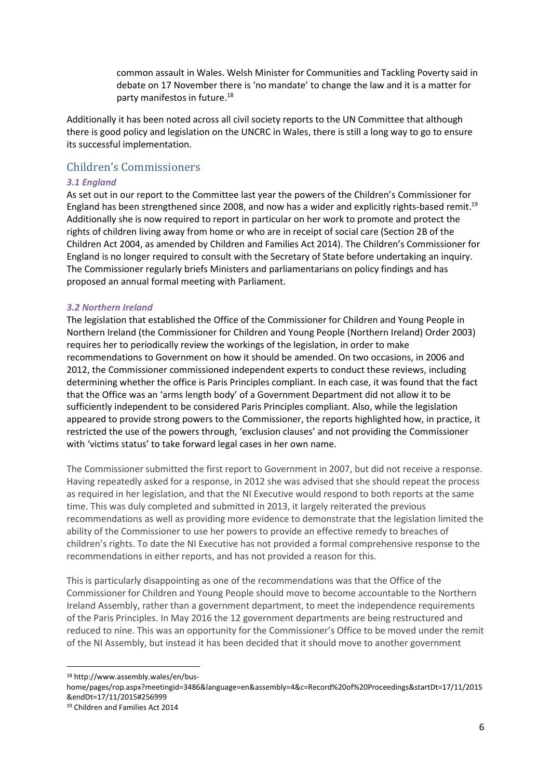common assault in Wales. Welsh Minister for Communities and Tackling Poverty said in debate on 17 November there is 'no mandate' to change the law and it is a matter for party manifestos in future. 18

Additionally it has been noted across all civil society reports to the UN Committee that although there is good policy and legislation on the UNCRC in Wales, there is still a long way to go to ensure its successful implementation.

# <span id="page-5-0"></span>Children's Commissioners

### *3.1 England*

As set out in our report to the Committee last year the powers of the Children's Commissioner for England has been strengthened since 2008, and now has a wider and explicitly rights-based remit.<sup>19</sup> Additionally she is now required to report in particular on her work to promote and protect the rights of children living away from home or who are in receipt of social care (Section 2B of the Children Act 2004, as amended by Children and Families Act 2014). The Children's Commissioner for England is no longer required to consult with the Secretary of State before undertaking an inquiry. The Commissioner regularly briefs Ministers and parliamentarians on policy findings and has proposed an annual formal meeting with Parliament.

### *3.2 Northern Ireland*

The legislation that established the Office of the Commissioner for Children and Young People in Northern Ireland (the Commissioner for Children and Young People (Northern Ireland) Order 2003) requires her to periodically review the workings of the legislation, in order to make recommendations to Government on how it should be amended. On two occasions, in 2006 and 2012, the Commissioner commissioned independent experts to conduct these reviews, including determining whether the office is Paris Principles compliant. In each case, it was found that the fact that the Office was an 'arms length body' of a Government Department did not allow it to be sufficiently independent to be considered Paris Principles compliant. Also, while the legislation appeared to provide strong powers to the Commissioner, the reports highlighted how, in practice, it restricted the use of the powers through, 'exclusion clauses' and not providing the Commissioner with 'victims status' to take forward legal cases in her own name.

The Commissioner submitted the first report to Government in 2007, but did not receive a response. Having repeatedly asked for a response, in 2012 she was advised that she should repeat the process as required in her legislation, and that the NI Executive would respond to both reports at the same time. This was duly completed and submitted in 2013, it largely reiterated the previous recommendations as well as providing more evidence to demonstrate that the legislation limited the ability of the Commissioner to use her powers to provide an effective remedy to breaches of children's rights. To date the NI Executive has not provided a formal comprehensive response to the recommendations in either reports, and has not provided a reason for this.

This is particularly disappointing as one of the recommendations was that the Office of the Commissioner for Children and Young People should move to become accountable to the Northern Ireland Assembly, rather than a government department, to meet the independence requirements of the Paris Principles. In May 2016 the 12 government departments are being restructured and reduced to nine. This was an opportunity for the Commissioner's Office to be moved under the remit of the NI Assembly, but instead it has been decided that it should move to another government

<sup>18</sup> http://www.assembly.wales/en/bus-

1

home/pages/rop.aspx?meetingid=3486&language=en&assembly=4&c=Record%20of%20Proceedings&startDt=17/11/2015 &endDt=17/11/2015#256999

<sup>19</sup> Children and Families Act 2014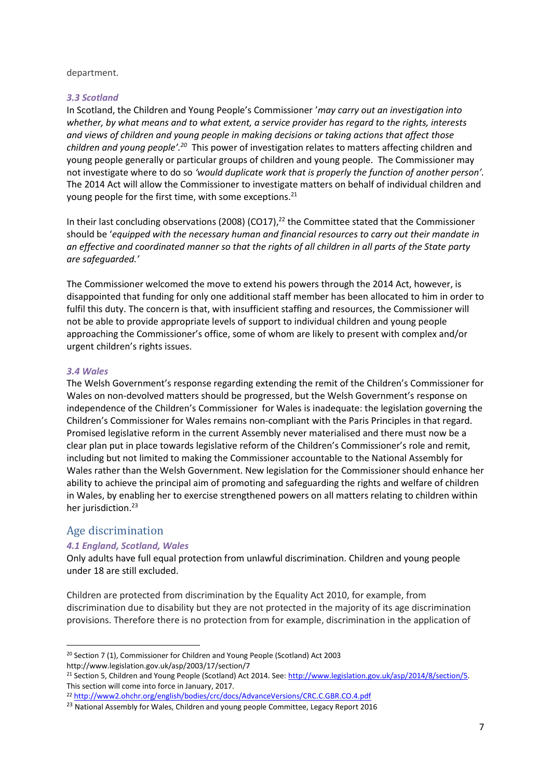#### department.

### *3.3 Scotland*

In Scotland, the Children and Young People's Commissioner '*may carry out an investigation into whether, by what means and to what extent, a service provider has regard to the rights, interests and views of children and young people in making decisions or taking actions that affect those*  children and young people<sup>', 20</sup> This power of investigation relates to matters affecting children and young people generally or particular groups of children and young people. The Commissioner may not investigate where to do so *'would duplicate work that is properly the function of another person'.*  The 2014 Act will allow the Commissioner to investigate matters on behalf of individual children and young people for the first time, with some exceptions.<sup>21</sup>

In their last concluding observations (2008) (CO17),<sup>22</sup> the Committee stated that the Commissioner should be '*equipped with the necessary human and financial resources to carry out their mandate in an effective and coordinated manner so that the rights of all children in all parts of the State party are safeguarded.'*

The Commissioner welcomed the move to extend his powers through the 2014 Act, however, is disappointed that funding for only one additional staff member has been allocated to him in order to fulfil this duty. The concern is that, with insufficient staffing and resources, the Commissioner will not be able to provide appropriate levels of support to individual children and young people approaching the Commissioner's office, some of whom are likely to present with complex and/or urgent children's rights issues.

### *3.4 Wales*

The Welsh Government's response regarding extending the remit of the Children's Commissioner for Wales on non-devolved matters should be progressed, but the Welsh Government's response on independence of the Children's Commissioner for Wales is inadequate: the legislation governing the Children's Commissioner for Wales remains non-compliant with the Paris Principles in that regard. Promised legislative reform in the current Assembly never materialised and there must now be a clear plan put in place towards legislative reform of the Children's Commissioner's role and remit, including but not limited to making the Commissioner accountable to the National Assembly for Wales rather than the Welsh Government. New legislation for the Commissioner should enhance her ability to achieve the principal aim of promoting and safeguarding the rights and welfare of children in Wales, by enabling her to exercise strengthened powers on all matters relating to children within her jurisdiction. 23

# <span id="page-6-0"></span>Age discrimination

**.** 

### *4.1 England, Scotland, Wales*

Only adults have full equal protection from unlawful discrimination. Children and young people under 18 are still excluded.

Children are protected from discrimination by the Equality Act 2010, for example, from discrimination due to disability but they are not protected in the majority of its age discrimination provisions. Therefore there is no protection from for example, discrimination in the application of

<sup>20</sup> Section 7 (1), Commissioner for Children and Young People (Scotland) Act 2003 http://www.legislation.gov.uk/asp/2003/17/section/7

<sup>21</sup> Section 5, Children and Young People (Scotland) Act 2014. See: [http://www.legislation.gov.uk/asp/2014/8/section/5.](http://www.legislation.gov.uk/asp/2014/8/section/5)  This section will come into force in January, 2017.

<sup>22</sup> <http://www2.ohchr.org/english/bodies/crc/docs/AdvanceVersions/CRC.C.GBR.CO.4.pdf>

<sup>&</sup>lt;sup>23</sup> National Assembly for Wales, Children and young people Committee, Legacy Report 2016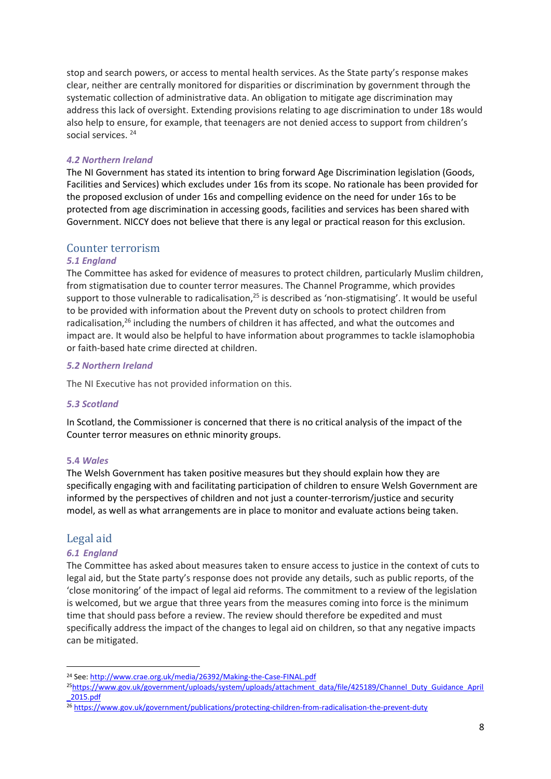stop and search powers, or access to mental health services. As the State party's response makes clear, neither are centrally monitored for disparities or discrimination by government through the systematic collection of administrative data. An obligation to mitigate age discrimination may address this lack of oversight. Extending provisions relating to age discrimination to under 18s would also help to ensure, for example, that teenagers are not denied access to support from children's social services.<sup>24</sup>

### *4.2 Northern Ireland*

The NI Government has stated its intention to bring forward Age Discrimination legislation (Goods, Facilities and Services) which excludes under 16s from its scope. No rationale has been provided for the proposed exclusion of under 16s and compelling evidence on the need for under 16s to be protected from age discrimination in accessing goods, facilities and services has been shared with Government. NICCY does not believe that there is any legal or practical reason for this exclusion.

# <span id="page-7-0"></span>Counter terrorism

### *5.1 England*

The Committee has asked for evidence of measures to protect children, particularly Muslim children, from stigmatisation due to counter terror measures. The Channel Programme, which provides support to those vulnerable to radicalisation,<sup>25</sup> is described as 'non-stigmatising'. It would be useful to be provided with information about the Prevent duty on schools to protect children from radicalisation,<sup>26</sup> including the numbers of children it has affected, and what the outcomes and impact are. It would also be helpful to have information about programmes to tackle islamophobia or faith-based hate crime directed at children.

### *5.2 Northern Ireland*

The NI Executive has not provided information on this.

### *5.3 Scotland*

In Scotland, the Commissioner is concerned that there is no critical analysis of the impact of the Counter terror measures on ethnic minority groups.

### **5.4** *Wales*

The Welsh Government has taken positive measures but they should explain how they are specifically engaging with and facilitating participation of children to ensure Welsh Government are informed by the perspectives of children and not just a counter-terrorism/justice and security model, as well as what arrangements are in place to monitor and evaluate actions being taken.

# <span id="page-7-1"></span>Legal aid

### *6.1 England*

1

The Committee has asked about measures taken to ensure access to justice in the context of cuts to legal aid, but the State party's response does not provide any details, such as public reports, of the 'close monitoring' of the impact of legal aid reforms. The commitment to a review of the legislation is welcomed, but we argue that three years from the measures coming into force is the minimum time that should pass before a review. The review should therefore be expedited and must specifically address the impact of the changes to legal aid on children, so that any negative impacts can be mitigated.

<sup>24</sup> See: <http://www.crae.org.uk/media/26392/Making-the-Case-FINAL.pdf>

<sup>25</sup>[https://www.gov.uk/government/uploads/system/uploads/attachment\\_data/file/425189/Channel\\_Duty\\_Guidance\\_April](https://www.gov.uk/government/uploads/system/uploads/attachment_data/file/425189/Channel_Duty_Guidance_April_2015.pdf) [\\_2015.pdf](https://www.gov.uk/government/uploads/system/uploads/attachment_data/file/425189/Channel_Duty_Guidance_April_2015.pdf)

<sup>26</sup> <https://www.gov.uk/government/publications/protecting-children-from-radicalisation-the-prevent-duty>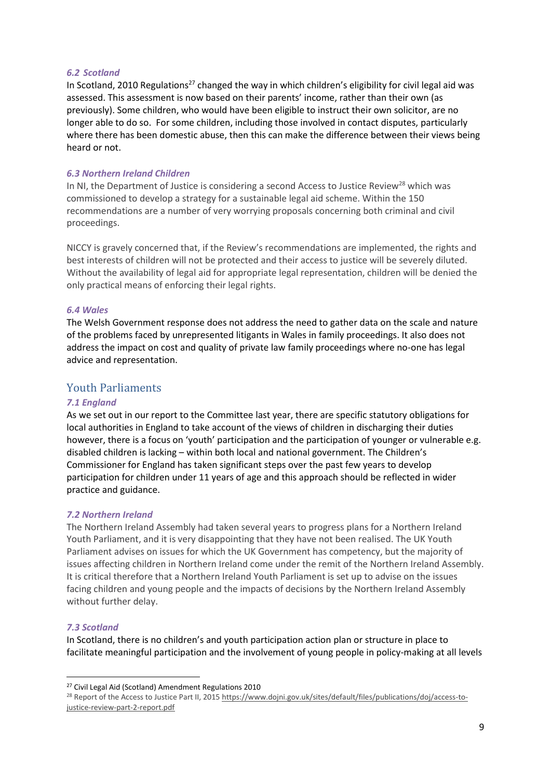#### *6.2 Scotland*

In Scotland, 2010 Regulations<sup>27</sup> changed the way in which children's eligibility for civil legal aid was assessed. This assessment is now based on their parents' income, rather than their own (as previously). Some children, who would have been eligible to instruct their own solicitor, are no longer able to do so. For some children, including those involved in contact disputes, particularly where there has been domestic abuse, then this can make the difference between their views being heard or not.

### *6.3 Northern Ireland Children*

In NI, the Department of Justice is considering a second Access to Justice Review<sup>28</sup> which was commissioned to develop a strategy for a sustainable legal aid scheme. Within the 150 recommendations are a number of very worrying proposals concerning both criminal and civil proceedings.

NICCY is gravely concerned that, if the Review's recommendations are implemented, the rights and best interests of children will not be protected and their access to justice will be severely diluted. Without the availability of legal aid for appropriate legal representation, children will be denied the only practical means of enforcing their legal rights.

#### *6.4 Wales*

The Welsh Government response does not address the need to gather data on the scale and nature of the problems faced by unrepresented litigants in Wales in family proceedings. It also does not address the impact on cost and quality of private law family proceedings where no-one has legal advice and representation.

# <span id="page-8-0"></span>Youth Parliaments

### *7.1 England*

As we set out in our report to the Committee last year, there are specific statutory obligations for local authorities in England to take account of the views of children in discharging their duties however, there is a focus on 'youth' participation and the participation of younger or vulnerable e.g. disabled children is lacking – within both local and national government. The Children's Commissioner for England has taken significant steps over the past few years to develop participation for children under 11 years of age and this approach should be reflected in wider practice and guidance.

### *7.2 Northern Ireland*

The Northern Ireland Assembly had taken several years to progress plans for a Northern Ireland Youth Parliament, and it is very disappointing that they have not been realised. The UK Youth Parliament advises on issues for which the UK Government has competency, but the majority of issues affecting children in Northern Ireland come under the remit of the Northern Ireland Assembly. It is critical therefore that a Northern Ireland Youth Parliament is set up to advise on the issues facing children and young people and the impacts of decisions by the Northern Ireland Assembly without further delay.

### *7.3 Scotland*

1

In Scotland, there is no children's and youth participation action plan or structure in place to facilitate meaningful participation and the involvement of young people in policy-making at all levels

<sup>27</sup> Civil Legal Aid (Scotland) Amendment Regulations 2010

<sup>&</sup>lt;sup>28</sup> Report of the Access to Justice Part II, 2015 [https://www.dojni.gov.uk/sites/default/files/publications/doj/access-to](https://www.dojni.gov.uk/sites/default/files/publications/doj/access-to-justice-review-part-2-report.pdf)[justice-review-part-2-report.pdf](https://www.dojni.gov.uk/sites/default/files/publications/doj/access-to-justice-review-part-2-report.pdf)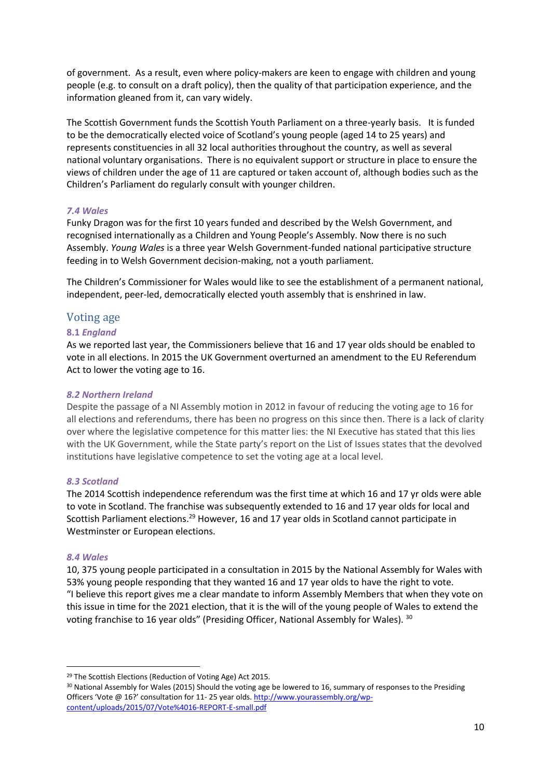of government. As a result, even where policy-makers are keen to engage with children and young people (e.g. to consult on a draft policy), then the quality of that participation experience, and the information gleaned from it, can vary widely.

The Scottish Government funds the Scottish Youth Parliament on a three-yearly basis. It is funded to be the democratically elected voice of Scotland's young people (aged 14 to 25 years) and represents constituencies in all 32 local authorities throughout the country, as well as several national voluntary organisations. There is no equivalent support or structure in place to ensure the views of children under the age of 11 are captured or taken account of, although bodies such as the Children's Parliament do regularly consult with younger children.

### *7.4 Wales*

Funky Dragon was for the first 10 years funded and described by the Welsh Government, and recognised internationally as a Children and Young People's Assembly. Now there is no such Assembly. *Young Wales* is a three year Welsh Government-funded national participative structure feeding in to Welsh Government decision-making, not a youth parliament.

The Children's Commissioner for Wales would like to see the establishment of a permanent national, independent, peer-led, democratically elected youth assembly that is enshrined in law.

# <span id="page-9-0"></span>Voting age

### **8.1** *England*

As we reported last year, the Commissioners believe that 16 and 17 year olds should be enabled to vote in all elections. In 2015 the UK Government overturned an amendment to the EU Referendum Act to lower the voting age to 16.

### *8.2 Northern Ireland*

Despite the passage of a NI Assembly motion in 2012 in favour of reducing the voting age to 16 for all elections and referendums, there has been no progress on this since then. There is a lack of clarity over where the legislative competence for this matter lies: the NI Executive has stated that this lies with the UK Government, while the State party's report on the List of Issues states that the devolved institutions have legislative competence to set the voting age at a local level.

### *8.3 Scotland*

The 2014 Scottish independence referendum was the first time at which 16 and 17 yr olds were able to vote in Scotland. The franchise was subsequently extended to 16 and 17 year olds for local and Scottish Parliament elections.<sup>29</sup> However, 16 and 17 year olds in Scotland cannot participate in Westminster or European elections.

### *8.4 Wales*

1

10, 375 young people participated in a consultation in 2015 by the National Assembly for Wales with 53% young people responding that they wanted 16 and 17 year olds to have the right to vote. "I believe this report gives me a clear mandate to inform Assembly Members that when they vote on this issue in time for the 2021 election, that it is the will of the young people of Wales to extend the voting franchise to 16 year olds" (Presiding Officer, National Assembly for Wales). 30

<sup>&</sup>lt;sup>29</sup> The Scottish Elections (Reduction of Voting Age) Act 2015.

<sup>&</sup>lt;sup>30</sup> National Assembly for Wales (2015) Should the voting age be lowered to 16, summary of responses to the Presiding Officers 'Vote @ 16?' consultation for 11- 25 year olds[. http://www.yourassembly.org/wp](http://www.yourassembly.org/wp-content/uploads/2015/07/Vote%4016-REPORT-E-small.pdf)[content/uploads/2015/07/Vote%4016-REPORT-E-small.pdf](http://www.yourassembly.org/wp-content/uploads/2015/07/Vote%4016-REPORT-E-small.pdf)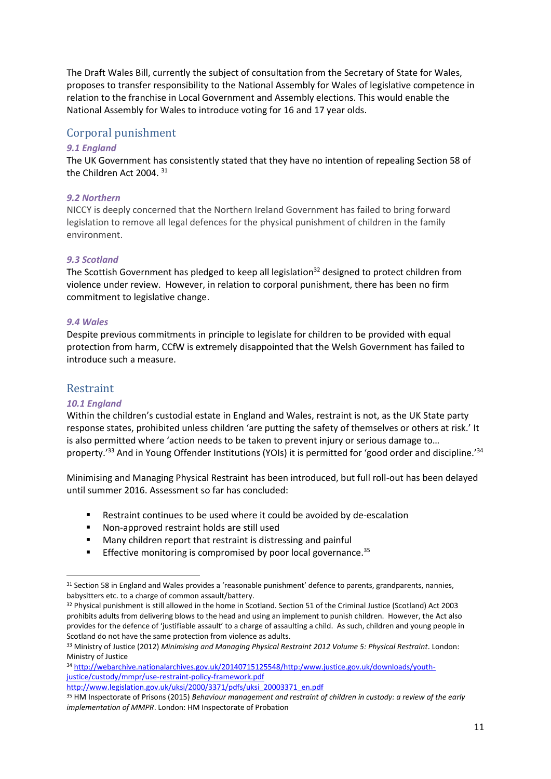The Draft Wales Bill, currently the subject of consultation from the Secretary of State for Wales, proposes to transfer responsibility to the National Assembly for Wales of legislative competence in relation to the franchise in Local Government and Assembly elections. This would enable the National Assembly for Wales to introduce voting for 16 and 17 year olds.

# <span id="page-10-0"></span>Corporal punishment

### *9.1 England*

The UK Government has consistently stated that they have no intention of repealing Section 58 of the Children Act 2004. <sup>31</sup>

### *9.2 Northern*

NICCY is deeply concerned that the Northern Ireland Government has failed to bring forward legislation to remove all legal defences for the physical punishment of children in the family environment.

### *9.3 Scotland*

The Scottish Government has pledged to keep all legislation<sup>32</sup> designed to protect children from violence under review. However, in relation to corporal punishment, there has been no firm commitment to legislative change.

### *9.4 Wales*

Despite previous commitments in principle to legislate for children to be provided with equal protection from harm, CCfW is extremely disappointed that the Welsh Government has failed to introduce such a measure.

# <span id="page-10-1"></span>Restraint

1

# *10.1 England*

Within the children's custodial estate in England and Wales, restraint is not, as the UK State party response states, prohibited unless children 'are putting the safety of themselves or others at risk.' It is also permitted where 'action needs to be taken to prevent injury or serious damage to… property.'<sup>33</sup> And in Young Offender Institutions (YOIs) it is permitted for 'good order and discipline.'<sup>34</sup>

Minimising and Managing Physical Restraint has been introduced, but full roll-out has been delayed until summer 2016. Assessment so far has concluded:

- Restraint continues to be used where it could be avoided by de-escalation
- Non-approved restraint holds are still used
- Many children report that restraint is distressing and painful
- **Effective monitoring is compromised by poor local governance.**  $35$

<sup>&</sup>lt;sup>31</sup> Section 58 in England and Wales provides a 'reasonable punishment' defence to parents, grandparents, nannies, babysitters etc. to a charge of common assault/battery.

<sup>32</sup> Physical punishment is still allowed in the home in Scotland. Section 51 of the Criminal Justice (Scotland) Act 2003 prohibits adults from delivering blows to the head and using an implement to punish children. However, the Act also provides for the defence of 'justifiable assault' to a charge of assaulting a child. As such, children and young people in Scotland do not have the same protection from violence as adults.

<sup>33</sup> Ministry of Justice (2012) *Minimising and Managing Physical Restraint 2012 Volume 5: Physical Restraint*. London: Ministry of Justice

<sup>34</sup> [http://webarchive.nationalarchives.gov.uk/20140715125548/http:/www.justice.gov.uk/downloads/youth](http://webarchive.nationalarchives.gov.uk/20140715125548/http:/www.justice.gov.uk/downloads/youth-justice/custody/mmpr/use-restraint-policy-framework.pdf)[justice/custody/mmpr/use-restraint-policy-framework.pdf](http://webarchive.nationalarchives.gov.uk/20140715125548/http:/www.justice.gov.uk/downloads/youth-justice/custody/mmpr/use-restraint-policy-framework.pdf) [http://www.legislation.gov.uk/uksi/2000/3371/pdfs/uksi\\_20003371\\_en.pdf](http://www.legislation.gov.uk/uksi/2000/3371/pdfs/uksi_20003371_en.pdf)

<sup>35</sup> HM Inspectorate of Prisons (2015) *Behaviour management and restraint of children in custody: a review of the early implementation of MMPR*. London: HM Inspectorate of Probation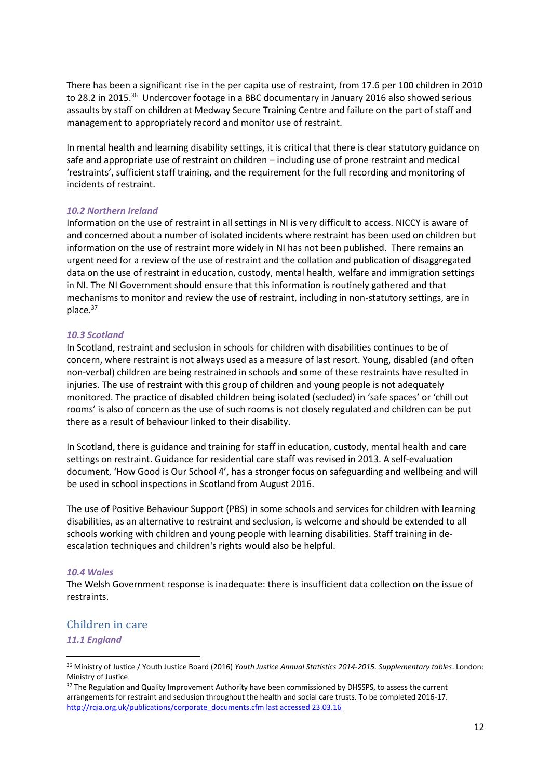There has been a significant rise in the per capita use of restraint, from 17.6 per 100 children in 2010 to 28.2 in 2015.<sup>36</sup> Undercover footage in a BBC documentary in January 2016 also showed serious assaults by staff on children at Medway Secure Training Centre and failure on the part of staff and management to appropriately record and monitor use of restraint.

In mental health and learning disability settings, it is critical that there is clear statutory guidance on safe and appropriate use of restraint on children – including use of prone restraint and medical 'restraints', sufficient staff training, and the requirement for the full recording and monitoring of incidents of restraint.

### *10.2 Northern Ireland*

Information on the use of restraint in all settings in NI is very difficult to access. NICCY is aware of and concerned about a number of isolated incidents where restraint has been used on children but information on the use of restraint more widely in NI has not been published. There remains an urgent need for a review of the use of restraint and the collation and publication of disaggregated data on the use of restraint in education, custody, mental health, welfare and immigration settings in NI. The NI Government should ensure that this information is routinely gathered and that mechanisms to monitor and review the use of restraint, including in non-statutory settings, are in place.<sup>37</sup>

### *10.3 Scotland*

In Scotland, restraint and seclusion in schools for children with disabilities continues to be of concern, where restraint is not always used as a measure of last resort. Young, disabled (and often non-verbal) children are being restrained in schools and some of these restraints have resulted in injuries. The use of restraint with this group of children and young people is not adequately monitored. The practice of disabled children being isolated (secluded) in 'safe spaces' or 'chill out rooms' is also of concern as the use of such rooms is not closely regulated and children can be put there as a result of behaviour linked to their disability.

In Scotland, there is guidance and training for staff in education, custody, mental health and care settings on restraint. Guidance for residential care staff was revised in 2013. A self-evaluation document, 'How Good is Our School 4', has a stronger focus on safeguarding and wellbeing and will be used in school inspections in Scotland from August 2016.

The use of Positive Behaviour Support (PBS) in some schools and services for children with learning disabilities, as an alternative to restraint and seclusion, is welcome and should be extended to all schools working with children and young people with learning disabilities. Staff training in deescalation techniques and children's rights would also be helpful.

### *10.4 Wales*

The Welsh Government response is inadequate: there is insufficient data collection on the issue of restraints.

# <span id="page-11-0"></span>Children in care

### *11.1 England*

**.** 

<sup>36</sup> Ministry of Justice / Youth Justice Board (2016) *Youth Justice Annual Statistics 2014-2015. Supplementary tables*. London: Ministry of Justice

<sup>&</sup>lt;sup>37</sup> The Regulation and Quality Improvement Authority have been commissioned by DHSSPS, to assess the current arrangements for restraint and seclusion throughout the health and social care trusts. To be completed 2016-17. [http://rqia.org.uk/publications/corporate\\_documents.cfm last accessed 23.03.16](http://rqia.org.uk/publications/corporate_documents.cfm%20last%20accessed%2023.03.16)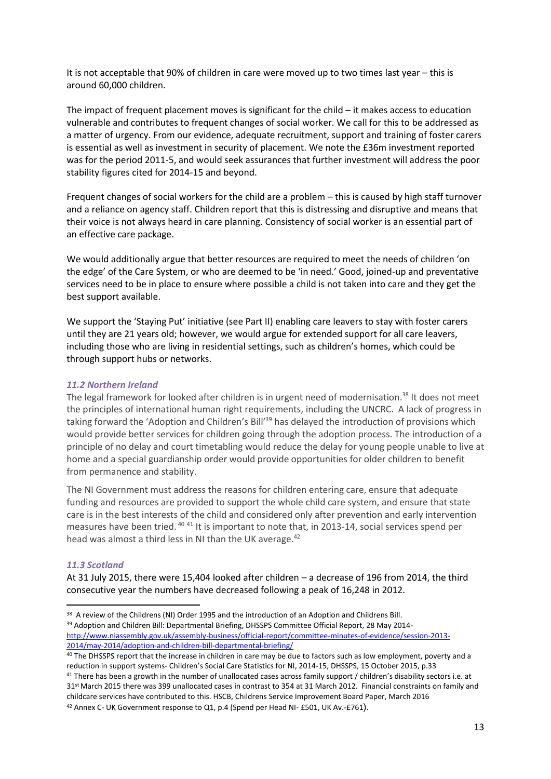It is not acceptable that 90% of children in care were moved up to two times last year – this is around 60,000 children.

The impact of frequent placement moves is significant for the child – it makes access to education vulnerable and contributes to frequent changes of social worker. We call for this to be addressed as a matter of urgency. From our evidence, adequate recruitment, support and training of foster carers is essential as well as investment in security of placement. We note the £36m investment reported was for the period 2011-5, and would seek assurances that further investment will address the poor stability figures cited for 2014-15 and beyond.

Frequent changes of social workers for the child are a problem – this is caused by high staff turnover and a reliance on agency staff. Children report that this is distressing and disruptive and means that their voice is not always heard in care planning. Consistency of social worker is an essential part of an effective care package.

We would additionally argue that better resources are required to meet the needs of children 'on the edge' of the Care System, or who are deemed to be 'in need.' Good, joined-up and preventative services need to be in place to ensure where possible a child is not taken into care and they get the best support available.

We support the 'Staying Put' initiative (see Part II) enabling care leavers to stay with foster carers until they are 21 years old; however, we would argue for extended support for all care leavers, including those who are living in residential settings, such as children's homes, which could be through support hubs or networks.

### *11.2 Northern Ireland*

The legal framework for looked after children is in urgent need of modernisation.<sup>38</sup> It does not meet the principles of international human right requirements, including the UNCRC. A lack of progress in taking forward the 'Adoption and Children's Bill<sup>'39</sup> has delayed the introduction of provisions which would provide better services for children going through the adoption process. The introduction of a principle of no delay and court timetabling would reduce the delay for young people unable to live at home and a special guardianship order would provide opportunities for older children to benefit from permanence and stability.

The NI Government must address the reasons for children entering care, ensure that adequate funding and resources are provided to support the whole child care system, and ensure that state care is in the best interests of the child and considered only after prevention and early intervention measures have been tried. <sup>40 41</sup> It is important to note that, in 2013-14, social services spend per head was almost a third less in NI than the UK average.<sup>42</sup>

### *11.3 Scotland*

1

At 31 July 2015, there were 15,404 looked after children – a decrease of 196 from 2014, the third consecutive year the numbers have decreased following a peak of 16,248 in 2012.

<sup>42</sup> Annex C- UK Government response to Q1, p.4 (Spend per Head NI- £501, UK Av.-£761).

<sup>&</sup>lt;sup>38</sup> A review of the Childrens (NI) Order 1995 and the introduction of an Adoption and Childrens Bill.

<sup>&</sup>lt;sup>39</sup> Adoption and Children Bill: Departmental Briefing, DHSSPS Committee Official Report, 28 May 2014[http://www.niassembly.gov.uk/assembly-business/official-report/committee-minutes-of-evidence/session-2013-](http://www.niassembly.gov.uk/assembly-business/official-report/committee-minutes-of-evidence/session-2013-2014/may-2014/adoption-and-children-bill-departmental-briefing/) [2014/may-2014/adoption-and-children-bill-departmental-briefing/](http://www.niassembly.gov.uk/assembly-business/official-report/committee-minutes-of-evidence/session-2013-2014/may-2014/adoption-and-children-bill-departmental-briefing/)

<sup>&</sup>lt;sup>40</sup> The DHSSPS report that the increase in children in care may be due to factors such as low employment, poverty and a reduction in support systems- Children's Social Care Statistics for NI, 2014-15, DHSSPS, 15 October 2015, p.33

<sup>&</sup>lt;sup>41</sup> There has been a growth in the number of unallocated cases across family support / children's disability sectors i.e. at 31st March 2015 there was 399 unallocated cases in contrast to 354 at 31 March 2012. Financial constraints on family and childcare services have contributed to this. HSCB, Childrens Service Improvement Board Paper, March 2016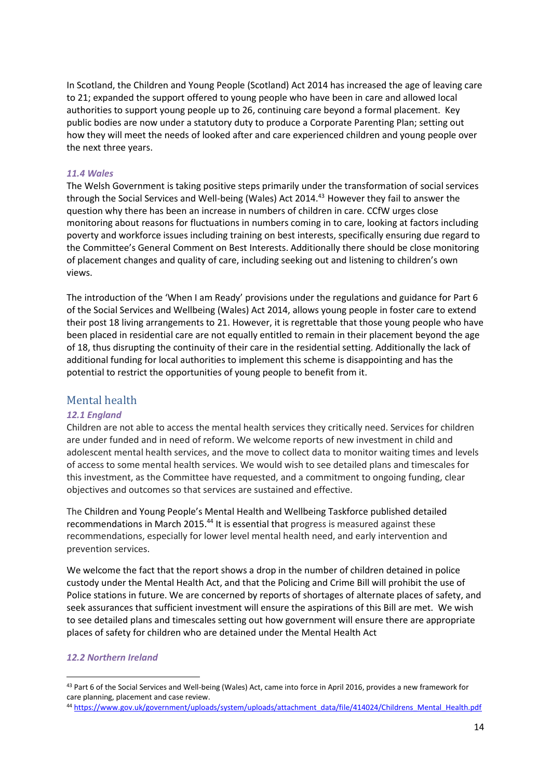In Scotland, the Children and Young People (Scotland) Act 2014 has increased the age of leaving care to 21; expanded the support offered to young people who have been in care and allowed local authorities to support young people up to 26, continuing care beyond a formal placement. Key public bodies are now under a statutory duty to produce a Corporate Parenting Plan; setting out how they will meet the needs of looked after and care experienced children and young people over the next three years.

### *11.4 Wales*

The Welsh Government is taking positive steps primarily under the transformation of social services through the Social Services and Well-being (Wales) Act 2014.<sup>43</sup> However they fail to answer the question why there has been an increase in numbers of children in care. CCfW urges close monitoring about reasons for fluctuations in numbers coming in to care, looking at factors including poverty and workforce issues including training on best interests, specifically ensuring due regard to the Committee's General Comment on Best Interests. Additionally there should be close monitoring of placement changes and quality of care, including seeking out and listening to children's own views.

The introduction of the 'When I am Ready' provisions under the regulations and guidance for Part 6 of the Social Services and Wellbeing (Wales) Act 2014, allows young people in foster care to extend their post 18 living arrangements to 21. However, it is regrettable that those young people who have been placed in residential care are not equally entitled to remain in their placement beyond the age of 18, thus disrupting the continuity of their care in the residential setting. Additionally the lack of additional funding for local authorities to implement this scheme is disappointing and has the potential to restrict the opportunities of young people to benefit from it.

# <span id="page-13-0"></span>Mental health

### *12.1 England*

Children are not able to access the mental health services they critically need. Services for children are under funded and in need of reform. We welcome reports of new investment in child and adolescent mental health services, and the move to collect data to monitor waiting times and levels of access to some mental health services. We would wish to see detailed plans and timescales for this investment, as the Committee have requested, and a commitment to ongoing funding, clear objectives and outcomes so that services are sustained and effective.

The Children and Young People's Mental Health and Wellbeing Taskforce published detailed recommendations in March 2015.<sup>44</sup> It is essential that progress is measured against these recommendations, especially for lower level mental health need, and early intervention and prevention services.

We welcome the fact that the report shows a drop in the number of children detained in police custody under the Mental Health Act, and that the Policing and Crime Bill will prohibit the use of Police stations in future. We are concerned by reports of shortages of alternate places of safety, and seek assurances that sufficient investment will ensure the aspirations of this Bill are met. We wish to see detailed plans and timescales setting out how government will ensure there are appropriate places of safety for children who are detained under the Mental Health Act

#### *12.2 Northern Ireland*

1

<sup>43</sup> Part 6 of the Social Services and Well-being (Wales) Act, came into force in April 2016, provides a new framework for care planning, placement and case review.

<sup>44</sup> [https://www.gov.uk/government/uploads/system/uploads/attachment\\_data/file/414024/Childrens\\_Mental\\_Health.pdf](https://www.gov.uk/government/uploads/system/uploads/attachment_data/file/414024/Childrens_Mental_Health.pdf)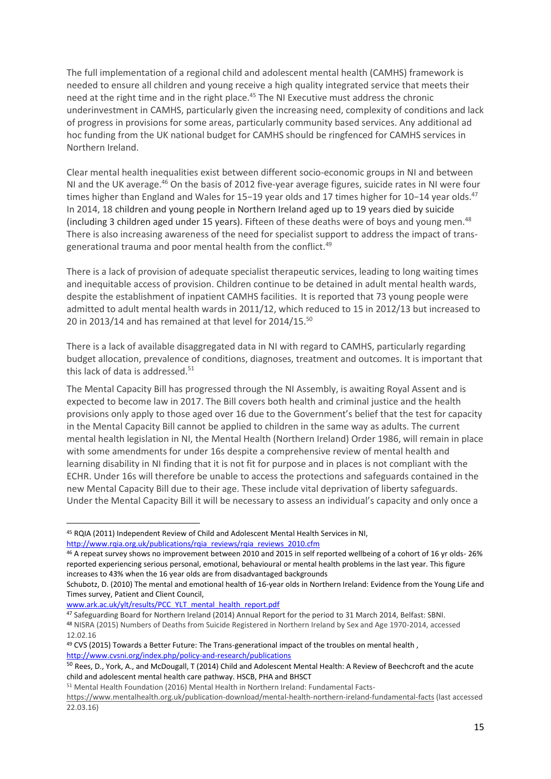The full implementation of a regional child and adolescent mental health (CAMHS) framework is needed to ensure all children and young receive a high quality integrated service that meets their need at the right time and in the right place.<sup>45</sup> The NI Executive must address the chronic underinvestment in CAMHS, particularly given the increasing need, complexity of conditions and lack of progress in provisions for some areas, particularly community based services. Any additional ad hoc funding from the UK national budget for CAMHS should be ringfenced for CAMHS services in Northern Ireland.

Clear mental health inequalities exist between different socio-economic groups in NI and between NI and the UK average.<sup>46</sup> On the basis of 2012 five-year average figures, suicide rates in NI were four times higher than England and Wales for 15−19 year olds and 17 times higher for 10−14 year olds.<sup>47</sup> In 2014, 18 children and young people in Northern Ireland aged up to 19 years died by suicide (including 3 children aged under 15 years). Fifteen of these deaths were of boys and young men. $^{48}$ There is also increasing awareness of the need for specialist support to address the impact of transgenerational trauma and poor mental health from the conflict.<sup>49</sup>

There is a lack of provision of adequate specialist therapeutic services, leading to long waiting times and inequitable access of provision. Children continue to be detained in adult mental health wards, despite the establishment of inpatient CAMHS facilities. It is reported that 73 young people were admitted to adult mental health wards in 2011/12, which reduced to 15 in 2012/13 but increased to 20 in 2013/14 and has remained at that level for 2014/15.<sup>50</sup>

There is a lack of available disaggregated data in NI with regard to CAMHS, particularly regarding budget allocation, prevalence of conditions, diagnoses, treatment and outcomes. It is important that this lack of data is addressed.<sup>51</sup>

The Mental Capacity Bill has progressed through the NI Assembly, is awaiting Royal Assent and is expected to become law in 2017. The Bill covers both health and criminal justice and the health provisions only apply to those aged over 16 due to the Government's belief that the test for capacity in the Mental Capacity Bill cannot be applied to children in the same way as adults. The current mental health legislation in NI, the Mental Health (Northern Ireland) Order 1986, will remain in place with some amendments for under 16s despite a comprehensive review of mental health and learning disability in NI finding that it is not fit for purpose and in places is not compliant with the ECHR. Under 16s will therefore be unable to access the protections and safeguards contained in the new Mental Capacity Bill due to their age. These include vital deprivation of liberty safeguards. Under the Mental Capacity Bill it will be necessary to assess an individual's capacity and only once a

[www.ark.ac.uk/ylt/results/PCC\\_YLT\\_mental\\_health\\_report.pdf](http://www.ark.ac.uk/ylt/results/PCC_YLT_mental_health_report.pdf)

**.** 

<sup>45</sup> RQIA (2011) Independent Review of Child and Adolescent Mental Health Services in NI, [http://www.rqia.org.uk/publications/rqia\\_reviews/rqia\\_reviews\\_2010.cfm](http://www.rqia.org.uk/publications/rqia_reviews/rqia_reviews_2010.cfm)

<sup>46</sup> A repeat survey shows no improvement between 2010 and 2015 in self reported wellbeing of a cohort of 16 yr olds- 26% reported experiencing serious personal, emotional, behavioural or mental health problems in the last year. This figure increases to 43% when the 16 year olds are from disadvantaged backgrounds

Schubotz, D. (2010) The mental and emotional health of 16-year olds in Northern Ireland: Evidence from the Young Life and Times survey, Patient and Client Council,

<sup>47</sup> Safeguarding Board for Northern Ireland (2014) Annual Report for the period to 31 March 2014, Belfast: SBNI. <sup>48</sup> NISRA (2015) Numbers of Deaths from Suicide Registered in Northern Ireland by Sex and Age 1970-2014, accessed 12.02.16

<sup>&</sup>lt;sup>49</sup> CVS (2015) Towards a Better Future: The Trans-generational impact of the troubles on mental health, <http://www.cvsni.org/index.php/policy-and-research/publications>

<sup>50</sup> Rees, D., York, A., and McDougall, T (2014) Child and Adolescent Mental Health: A Review of Beechcroft and the acute child and adolescent mental health care pathway. HSCB, PHA and BHSCT

<sup>51</sup> Mental Health Foundation (2016) Mental Health in Northern Ireland: Fundamental Facts-

<https://www.mentalhealth.org.uk/publication-download/mental-health-northern-ireland-fundamental-facts> (last accessed 22.03.16)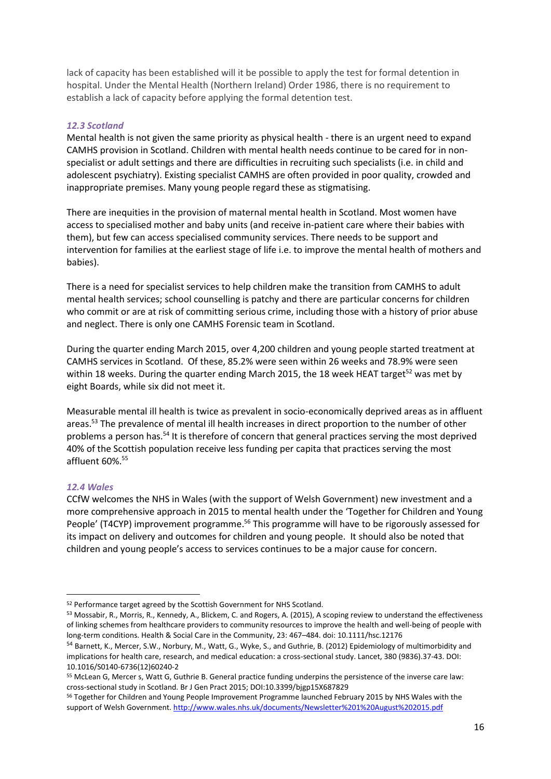lack of capacity has been established will it be possible to apply the test for formal detention in hospital. Under the Mental Health (Northern Ireland) Order 1986, there is no requirement to establish a lack of capacity before applying the formal detention test.

### *12.3 Scotland*

Mental health is not given the same priority as physical health - there is an urgent need to expand CAMHS provision in Scotland. Children with mental health needs continue to be cared for in nonspecialist or adult settings and there are difficulties in recruiting such specialists (i.e. in child and adolescent psychiatry). Existing specialist CAMHS are often provided in poor quality, crowded and inappropriate premises. Many young people regard these as stigmatising.

There are inequities in the provision of maternal mental health in Scotland. Most women have access to specialised mother and baby units (and receive in-patient care where their babies with them), but few can access specialised community services. There needs to be support and intervention for families at the earliest stage of life i.e. to improve the mental health of mothers and babies).

There is a need for specialist services to help children make the transition from CAMHS to adult mental health services; school counselling is patchy and there are particular concerns for children who commit or are at risk of committing serious crime, including those with a history of prior abuse and neglect. There is only one CAMHS Forensic team in Scotland.

During the quarter ending March 2015, over 4,200 children and young people started treatment at CAMHS services in Scotland. Of these, 85.2% were seen within 26 weeks and 78.9% were seen within 18 weeks. During the quarter ending March 2015, the 18 week HEAT target<sup>52</sup> was met by eight Boards, while six did not meet it.

Measurable mental ill health is twice as prevalent in socio-economically deprived areas as in affluent areas.<sup>53</sup> The prevalence of mental ill health increases in direct proportion to the number of other problems a person has.<sup>54</sup> It is therefore of concern that general practices serving the most deprived 40% of the Scottish population receive less funding per capita that practices serving the most affluent 60%. 55

# *12.4 Wales*

**.** 

CCfW welcomes the NHS in Wales (with the support of Welsh Government) new investment and a more comprehensive approach in 2015 to mental health under the 'Together for Children and Young People' (T4CYP) improvement programme.<sup>56</sup> This programme will have to be rigorously assessed for its impact on delivery and outcomes for children and young people. It should also be noted that children and young people's access to services continues to be a major cause for concern.

<sup>55</sup> McLean G, Mercer s, Watt G, Guthrie B. General practice funding underpins the persistence of the inverse care law: cross-sectional study in Scotland. Br J Gen Pract 2015; DOI:10.3399/bjgp15X687829

<sup>52</sup> Performance target agreed by the Scottish Government for NHS Scotland.

<sup>53</sup> Mossabir, R., Morris, R., Kennedy, A., Blickem, C. and Rogers, A. (2015), A scoping review to understand the effectiveness of linking schemes from healthcare providers to community resources to improve the health and well-being of people with long-term conditions. Health & Social Care in the Community, 23: 467–484. doi: 10.1111/hsc.12176

<sup>54</sup> Barnett, K., Mercer, S.W., Norbury, M., Watt, G., Wyke, S., and Guthrie, B. (2012) Epidemiology of multimorbidity and implications for health care, research, and medical education: a cross-sectional study. Lancet, 380 (9836).37-43. DOI: 10.1016/S0140-6736(12)60240-2

<sup>56</sup> Together for Children and Young People Improvement Programme launched February 2015 by NHS Wales with the support of Welsh Government[. http://www.wales.nhs.uk/documents/Newsletter%201%20August%202015.pdf](http://www.wales.nhs.uk/documents/Newsletter%201%20August%202015.pdf)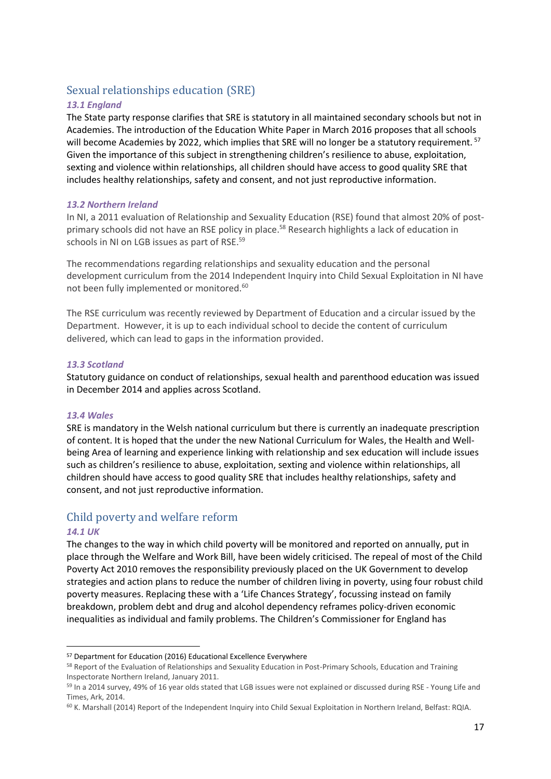# <span id="page-16-0"></span>Sexual relationships education (SRE)

# *13.1 England*

The State party response clarifies that SRE is statutory in all maintained secondary schools but not in Academies. The introduction of the Education White Paper in March 2016 proposes that all schools will become Academies by 2022, which implies that SRE will no longer be a statutory requirement. <sup>57</sup> Given the importance of this subject in strengthening children's resilience to abuse, exploitation, sexting and violence within relationships, all children should have access to good quality SRE that includes healthy relationships, safety and consent, and not just reproductive information.

### *13.2 Northern Ireland*

In NI, a 2011 evaluation of Relationship and Sexuality Education (RSE) found that almost 20% of postprimary schools did not have an RSE policy in place.<sup>58</sup> Research highlights a lack of education in schools in NI on LGB issues as part of RSE. 59

The recommendations regarding relationships and sexuality education and the personal development curriculum from the 2014 Independent Inquiry into Child Sexual Exploitation in NI have not been fully implemented or monitored.<sup>60</sup>

The RSE curriculum was recently reviewed by Department of Education and a circular issued by the Department. However, it is up to each individual school to decide the content of curriculum delivered, which can lead to gaps in the information provided.

### *13.3 Scotland*

Statutory guidance on conduct of relationships, sexual health and parenthood education was issued in December 2014 and applies across Scotland.

### *13.4 Wales*

SRE is mandatory in the Welsh national curriculum but there is currently an inadequate prescription of content. It is hoped that the under the new National Curriculum for Wales, the Health and Wellbeing Area of learning and experience linking with relationship and sex education will include issues such as children's resilience to abuse, exploitation, sexting and violence within relationships, all children should have access to good quality SRE that includes healthy relationships, safety and consent, and not just reproductive information.

# <span id="page-16-1"></span>Child poverty and welfare reform

### *14.1 UK*

**.** 

The changes to the way in which child poverty will be monitored and reported on annually, put in place through the Welfare and Work Bill, have been widely criticised. The repeal of most of the Child Poverty Act 2010 removes the responsibility previously placed on the UK Government to develop strategies and action plans to reduce the number of children living in poverty, using four robust child poverty measures. Replacing these with a 'Life Chances Strategy', focussing instead on family breakdown, problem debt and drug and alcohol dependency reframes policy-driven economic inequalities as individual and family problems. The Children's Commissioner for England has

<sup>57</sup> Department for Education (2016) Educational Excellence Everywhere

<sup>58</sup> Report of the Evaluation of Relationships and Sexuality Education in Post-Primary Schools, Education and Training Inspectorate Northern Ireland, January 2011.

<sup>59</sup> In a 2014 survey, 49% of 16 year olds stated that LGB issues were not explained or discussed during RSE - Young Life and Times, Ark, 2014.

<sup>60</sup> K. Marshall (2014) Report of the Independent Inquiry into Child Sexual Exploitation in Northern Ireland, Belfast: RQIA.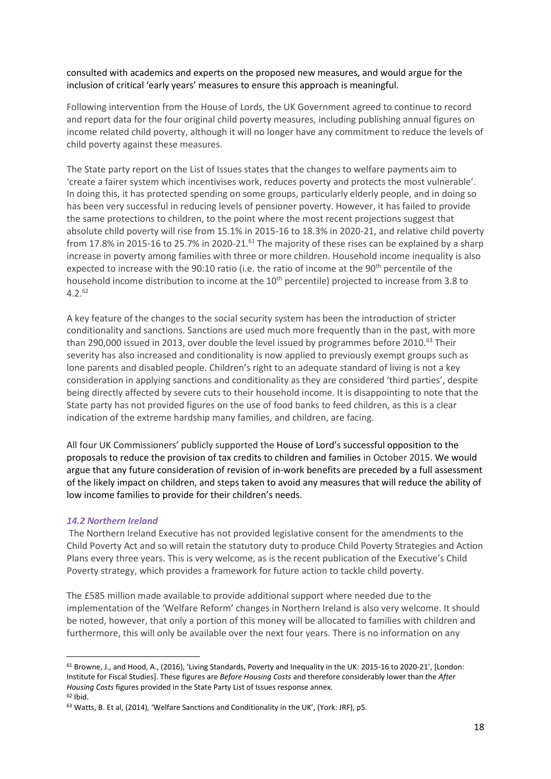consulted with academics and experts on the proposed new measures, and would argue for the inclusion of critical 'early years' measures to ensure this approach is meaningful.

Following intervention from the House of Lords, the UK Government agreed to continue to record and report data for the four original child poverty measures, including publishing annual figures on income related child poverty, although it will no longer have any commitment to reduce the levels of child poverty against these measures.

The State party report on the List of Issues states that the changes to welfare payments aim to 'create a fairer system which incentivises work, reduces poverty and protects the most vulnerable'. In doing this, it has protected spending on some groups, particularly elderly people, and in doing so has been very successful in reducing levels of pensioner poverty. However, it has failed to provide the same protections to children, to the point where the most recent projections suggest that absolute child poverty will rise from 15.1% in 2015-16 to 18.3% in 2020-21, and relative child poverty from 17.8% in 2015-16 to 25.7% in 2020-21.<sup>61</sup> The majority of these rises can be explained by a sharp increase in poverty among families with three or more children. Household income inequality is also expected to increase with the 90:10 ratio (i.e. the ratio of income at the 90<sup>th</sup> percentile of the household income distribution to income at the 10<sup>th</sup> percentile) projected to increase from 3.8 to  $4.2^{62}$ 

A key feature of the changes to the social security system has been the introduction of stricter conditionality and sanctions. Sanctions are used much more frequently than in the past, with more than 290,000 issued in 2013, over double the level issued by programmes before 2010.<sup>63</sup> Their severity has also increased and conditionality is now applied to previously exempt groups such as lone parents and disabled people. Children's right to an adequate standard of living is not a key consideration in applying sanctions and conditionality as they are considered 'third parties', despite being directly affected by severe cuts to their household income. It is disappointing to note that the State party has not provided figures on the use of food banks to feed children, as this is a clear indication of the extreme hardship many families, and children, are facing.

All four UK Commissioners' publicly supported the House of Lord's successful opposition to the proposals to reduce the provision of tax credits to children and families in October 2015. We would argue that any future consideration of revision of in-work benefits are preceded by a full assessment of the likely impact on children, and steps taken to avoid any measures that will reduce the ability of low income families to provide for their children's needs.

### *14.2 Northern Ireland*

**.** 

The Northern Ireland Executive has not provided legislative consent for the amendments to the Child Poverty Act and so will retain the statutory duty to produce Child Poverty Strategies and Action Plans every three years. This is very welcome, as is the recent publication of the Executive's Child Poverty strategy, which provides a framework for future action to tackle child poverty.

The £585 million made available to provide additional support where needed due to the implementation of the 'Welfare Reform' changes in Northern Ireland is also very welcome. It should be noted, however, that only a portion of this money will be allocated to families with children and furthermore, this will only be available over the next four years. There is no information on any

<sup>61</sup> Browne, J., and Hood, A., (2016), 'Living Standards, Poverty and Inequality in the UK: 2015-16 to 2020-21', [London: Institute for Fiscal Studies]. These figures are *Before Housing Costs* and therefore considerably lower than the *After Housing Costs* figures provided in the State Party List of Issues response annex. <sup>62</sup> Ibid.

<sup>63</sup> Watts, B. Et al, (2014), 'Welfare Sanctions and Conditionality in the UK', (York: JRF), p5.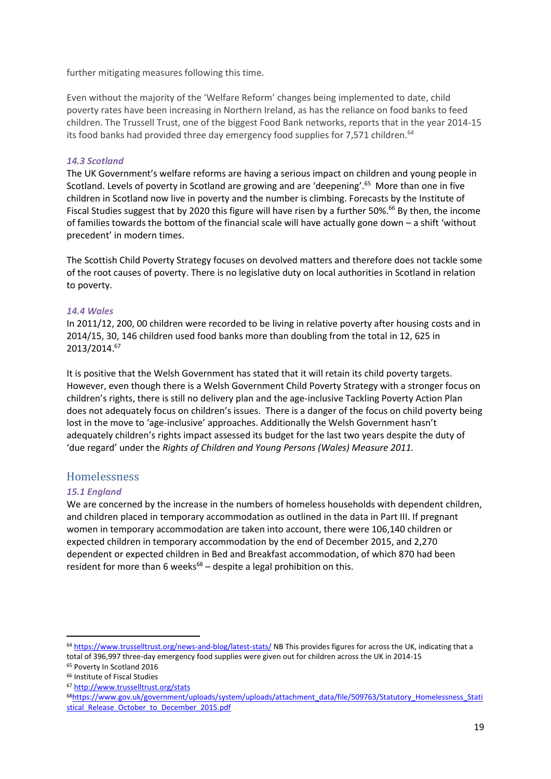further mitigating measures following this time.

Even without the majority of the 'Welfare Reform' changes being implemented to date, child poverty rates have been increasing in Northern Ireland, as has the reliance on food banks to feed children. The Trussell Trust, one of the biggest Food Bank networks, reports that in the year 2014-15 its food banks had provided three day emergency food supplies for 7,571 children.<sup>64</sup>

### *14.3 Scotland*

The UK Government's welfare reforms are having a serious impact on children and young people in Scotland. Levels of poverty in Scotland are growing and are 'deepening'.<sup>65</sup> More than one in five children in Scotland now live in poverty and the number is climbing. Forecasts by the Institute of Fiscal Studies suggest that by 2020 this figure will have risen by a further 50%.<sup>66</sup> By then, the income of families towards the bottom of the financial scale will have actually gone down – a shift 'without precedent' in modern times.

The Scottish Child Poverty Strategy focuses on devolved matters and therefore does not tackle some of the root causes of poverty. There is no legislative duty on local authorities in Scotland in relation to poverty.

### *14.4 Wales*

In 2011/12, 200, 00 children were recorded to be living in relative poverty after housing costs and in 2014/15, 30, 146 children used food banks more than doubling from the total in 12, 625 in 2013/2014. 67

It is positive that the Welsh Government has stated that it will retain its child poverty targets. However, even though there is a Welsh Government Child Poverty Strategy with a stronger focus on children's rights, there is still no delivery plan and the age-inclusive Tackling Poverty Action Plan does not adequately focus on children's issues. There is a danger of the focus on child poverty being lost in the move to 'age-inclusive' approaches. Additionally the Welsh Government hasn't adequately children's rights impact assessed its budget for the last two years despite the duty of 'due regard' under the *Rights of Children and Young Persons (Wales) Measure 2011.*

# <span id="page-18-0"></span>Homelessness

### *15.1 England*

We are concerned by the increase in the numbers of homeless households with dependent children, and children placed in temporary accommodation as outlined in the data in Part III. If pregnant women in temporary accommodation are taken into account, there were 106,140 children or expected children in temporary accommodation by the end of December 2015, and 2,270 dependent or expected children in Bed and Breakfast accommodation, of which 870 had been resident for more than 6 weeks $^{68}$  – despite a legal prohibition on this.

1

<sup>64</sup> <https://www.trusselltrust.org/news-and-blog/latest-stats/> NB This provides figures for across the UK, indicating that a total of 396,997 three-day emergency food supplies were given out for children across the UK in 2014-15

<sup>65</sup> Poverty In Scotland 2016

<sup>66</sup> Institute of Fiscal Studies <sup>67</sup> <http://www.trusselltrust.org/stats>

<sup>68</sup>[https://www.gov.uk/government/uploads/system/uploads/attachment\\_data/file/509763/Statutory\\_Homelessness\\_Stati](https://www.gov.uk/government/uploads/system/uploads/attachment_data/file/509763/Statutory_Homelessness_Statistical_Release_October_to_December_2015.pdf) [stical\\_Release\\_October\\_to\\_December\\_2015.pdf](https://www.gov.uk/government/uploads/system/uploads/attachment_data/file/509763/Statutory_Homelessness_Statistical_Release_October_to_December_2015.pdf)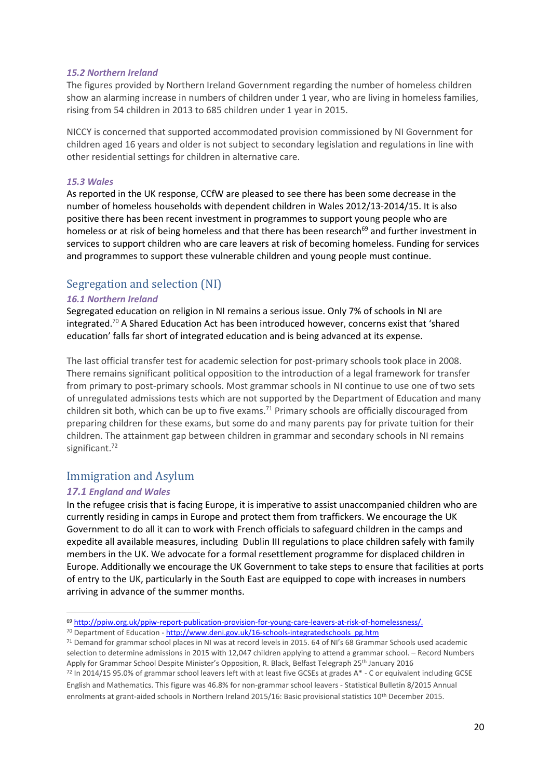#### *15.2 Northern Ireland*

The figures provided by Northern Ireland Government regarding the number of homeless children show an alarming increase in numbers of children under 1 year, who are living in homeless families, rising from 54 children in 2013 to 685 children under 1 year in 2015.

NICCY is concerned that supported accommodated provision commissioned by NI Government for children aged 16 years and older is not subject to secondary legislation and regulations in line with other residential settings for children in alternative care.

#### *15.3 Wales*

As reported in the UK response, CCfW are pleased to see there has been some decrease in the number of homeless households with dependent children in Wales 2012/13-2014/15. It is also positive there has been recent investment in programmes to support young people who are homeless or at risk of being homeless and that there has been research<sup>69</sup> and further investment in services to support children who are care leavers at risk of becoming homeless. Funding for services and programmes to support these vulnerable children and young people must continue.

# <span id="page-19-0"></span>Segregation and selection (NI)

#### *16.1 Northern Ireland*

Segregated education on religion in NI remains a serious issue. Only 7% of schools in NI are integrated.<sup>70</sup> A Shared Education Act has been introduced however, concerns exist that 'shared education' falls far short of integrated education and is being advanced at its expense.

The last official transfer test for academic selection for post-primary schools took place in 2008. There remains significant political opposition to the introduction of a legal framework for transfer from primary to post-primary schools. Most grammar schools in NI continue to use one of two sets of unregulated admissions tests which are not supported by the Department of Education and many children sit both, which can be up to five exams.<sup>71</sup> Primary schools are officially discouraged from preparing children for these exams, but some do and many parents pay for private tuition for their children. The attainment gap between children in grammar and secondary schools in NI remains significant.<sup>72</sup>

# <span id="page-19-1"></span>Immigration and Asylum

### *17.1 England and Wales*

**.** 

In the refugee crisis that is facing Europe, it is imperative to assist unaccompanied children who are currently residing in camps in Europe and protect them from traffickers. We encourage the UK Government to do all it can to work with French officials to safeguard children in the camps and expedite all available measures, including Dublin III regulations to place children safely with family members in the UK. We advocate for a formal resettlement programme for displaced children in Europe. Additionally we encourage the UK Government to take steps to ensure that facilities at ports of entry to the UK, particularly in the South East are equipped to cope with increases in numbers arriving in advance of the summer months.

<sup>69</sup> [http://ppiw.org.uk/ppiw-report-publication-provision-for-young-care-leavers-at-risk-of-homelessness/.](http://ppiw.org.uk/ppiw-report-publication-provision-for-young-care-leavers-at-risk-of-homelessness/)

<sup>&</sup>lt;sup>70</sup> Department of Education - [http://www.deni.gov.uk/16-schools-integratedschools\\_pg.htm](http://www.deni.gov.uk/16-schools-integratedschools_pg.htm)

<sup>71</sup> Demand for grammar school places in NI was at record levels in 2015. 64 of NI's 68 Grammar Schools used academic selection to determine admissions in 2015 with 12,047 children applying to attend a grammar school. – Record Numbers Apply for Grammar School Despite Minister's Opposition, R. Black, Belfast Telegraph 25<sup>th</sup> January 2016

<sup>72</sup> In 2014/15 95.0% of grammar school leavers left with at least five GCSEs at grades A\* - C or equivalent including GCSE English and Mathematics. This figure was 46.8% for non-grammar school leavers - Statistical Bulletin 8/2015 Annual enrolments at grant-aided schools in Northern Ireland 2015/16: Basic provisional statistics 10th December 2015.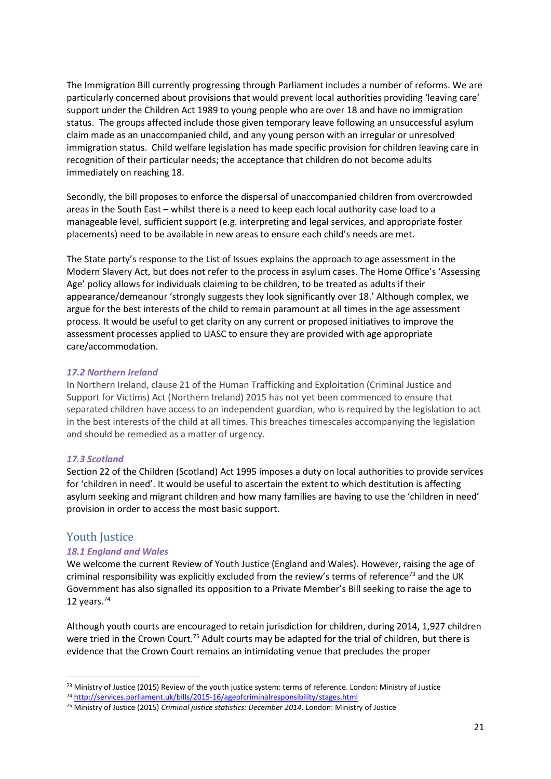The Immigration Bill currently progressing through Parliament includes a number of reforms. We are particularly concerned about provisions that would prevent local authorities providing 'leaving care' support under the Children Act 1989 to young people who are over 18 and have no immigration status. The groups affected include those given temporary leave following an unsuccessful asylum claim made as an unaccompanied child, and any young person with an irregular or unresolved immigration status. Child welfare legislation has made specific provision for children leaving care in recognition of their particular needs; the acceptance that children do not become adults immediately on reaching 18.

Secondly, the bill proposes to enforce the dispersal of unaccompanied children from overcrowded areas in the South East – whilst there is a need to keep each local authority case load to a manageable level, sufficient support (e.g. interpreting and legal services, and appropriate foster placements) need to be available in new areas to ensure each child's needs are met.

The State party's response to the List of Issues explains the approach to age assessment in the Modern Slavery Act, but does not refer to the process in asylum cases. The Home Office's 'Assessing Age' policy allows for individuals claiming to be children, to be treated as adults if their appearance/demeanour 'strongly suggests they look significantly over 18.' Although complex, we argue for the best interests of the child to remain paramount at all times in the age assessment process. It would be useful to get clarity on any current or proposed initiatives to improve the assessment processes applied to UASC to ensure they are provided with age appropriate care/accommodation.

#### *17.2 Northern Ireland*

In Northern Ireland, clause 21 of the Human Trafficking and Exploitation (Criminal Justice and Support for Victims) Act (Northern Ireland) 2015 has not yet been commenced to ensure that separated children have access to an independent guardian, who is required by the legislation to act in the best interests of the child at all times. This breaches timescales accompanying the legislation and should be remedied as a matter of urgency.

### *17.3 Scotland*

Section 22 of the Children (Scotland) Act 1995 imposes a duty on local authorities to provide services for 'children in need'. It would be useful to ascertain the extent to which destitution is affecting asylum seeking and migrant children and how many families are having to use the 'children in need' provision in order to access the most basic support.

### <span id="page-20-0"></span>Youth Justice

1

### *18.1 England and Wales*

We welcome the current Review of Youth Justice (England and Wales). However, raising the age of criminal responsibility was explicitly excluded from the review's terms of reference<sup>73</sup> and the UK Government has also signalled its opposition to a Private Member's Bill seeking to raise the age to 12 years. $74$ 

Although youth courts are encouraged to retain jurisdiction for children, during 2014, 1,927 children were tried in the Crown Court.<sup>75</sup> Adult courts may be adapted for the trial of children, but there is evidence that the Crown Court remains an intimidating venue that precludes the proper

<sup>&</sup>lt;sup>73</sup> Ministry of Justice (2015) Review of the youth justice system: terms of reference. London: Ministry of Justice

<sup>74</sup> <http://services.parliament.uk/bills/2015-16/ageofcriminalresponsibility/stages.html>

<sup>75</sup> Ministry of Justice (2015) *Criminal justice statistics: December 2014*. London: Ministry of Justice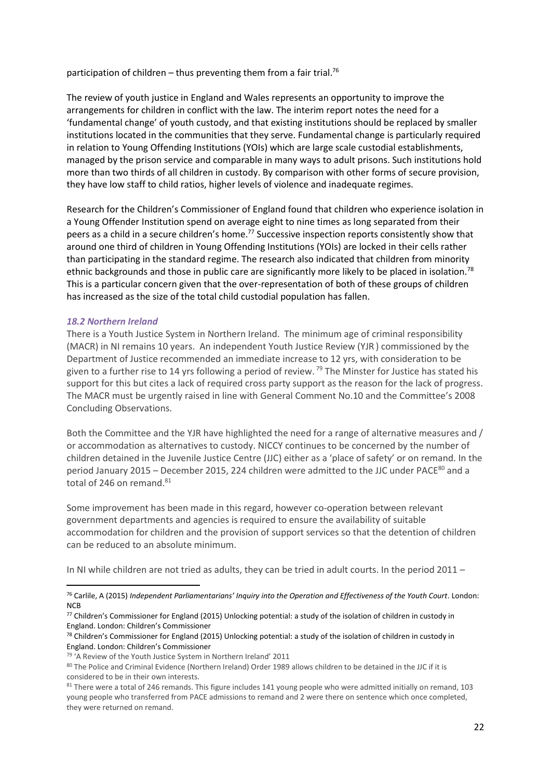participation of children  $-$  thus preventing them from a fair trial.<sup>76</sup>

The review of youth justice in England and Wales represents an opportunity to improve the arrangements for children in conflict with the law. The interim report notes the need for a 'fundamental change' of youth custody, and that existing institutions should be replaced by smaller institutions located in the communities that they serve. Fundamental change is particularly required in relation to Young Offending Institutions (YOIs) which are large scale custodial establishments, managed by the prison service and comparable in many ways to adult prisons. Such institutions hold more than two thirds of all children in custody. By comparison with other forms of secure provision, they have low staff to child ratios, higher levels of violence and inadequate regimes.

Research for the Children's Commissioner of England found that children who experience isolation in a Young Offender Institution spend on average eight to nine times as long separated from their peers as a child in a secure children's home.<sup>77</sup> Successive inspection reports consistently show that around one third of children in Young Offending Institutions (YOIs) are locked in their cells rather than participating in the standard regime. The research also indicated that children from minority ethnic backgrounds and those in public care are significantly more likely to be placed in isolation.<sup>78</sup> This is a particular concern given that the over-representation of both of these groups of children has increased as the size of the total child custodial population has fallen.

#### *18.2 Northern Ireland*

 $\overline{\phantom{a}}$ 

There is a Youth Justice System in Northern Ireland. The minimum age of criminal responsibility (MACR) in NI remains 10 years. An independent Youth Justice Review (YJR ) commissioned by the Department of Justice recommended an immediate increase to 12 yrs, with consideration to be given to a further rise to 14 yrs following a period of review.<sup>79</sup> The Minster for Justice has stated his support for this but cites a lack of required cross party support as the reason for the lack of progress. The MACR must be urgently raised in line with General Comment No.10 and the Committee's 2008 Concluding Observations.

Both the Committee and the YJR have highlighted the need for a range of alternative measures and / or accommodation as alternatives to custody. NICCY continues to be concerned by the number of children detained in the Juvenile Justice Centre (JJC) either as a 'place of safety' or on remand. In the period January 2015 – December 2015, 224 children were admitted to the JJC under PACE<sup>80</sup> and a total of 246 on remand.<sup>81</sup>

Some improvement has been made in this regard, however co-operation between relevant government departments and agencies is required to ensure the availability of suitable accommodation for children and the provision of support services so that the detention of children can be reduced to an absolute minimum.

In NI while children are not tried as adults, they can be tried in adult courts. In the period 2011 –

<sup>76</sup> Carlile, A (2015) *Independent Parliamentarians' Inquiry into the Operation and Effectiveness of the Youth Court*. London: **NCB** 

<sup>77</sup> Children's Commissioner for England (2015) Unlocking potential: a study of the isolation of children in custody in England. London: Children's Commissioner

<sup>78</sup> Children's Commissioner for England (2015) Unlocking potential: a study of the isolation of children in custody in England. London: Children's Commissioner

<sup>79</sup> 'A Review of the Youth Justice System in Northern Ireland' 2011

<sup>80</sup> The Police and Criminal Evidence (Northern Ireland) Order 1989 allows children to be detained in the JJC if it is considered to be in their own interests.

<sup>&</sup>lt;sup>81</sup> There were a total of 246 remands. This figure includes 141 young people who were admitted initially on remand, 103 young people who transferred from PACE admissions to remand and 2 were there on sentence which once completed, they were returned on remand.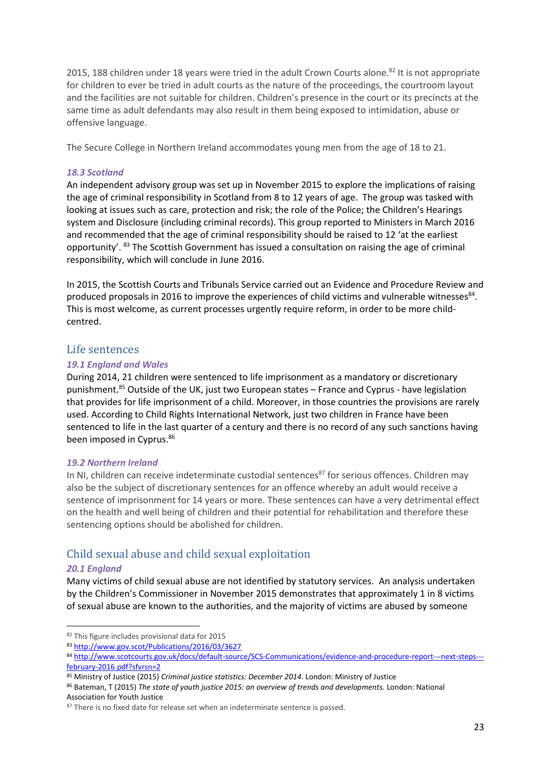2015, 188 children under 18 years were tried in the adult Crown Courts alone.<sup>82</sup> It is not appropriate for children to ever be tried in adult courts as the nature of the proceedings, the courtroom layout and the facilities are not suitable for children. Children's presence in the court or its precincts at the same time as adult defendants may also result in them being exposed to intimidation, abuse or offensive language.

The Secure College in Northern Ireland accommodates young men from the age of 18 to 21.

### *18.3 Scotland*

An independent advisory group was set up in November 2015 to explore the implications of raising the age of criminal responsibility in Scotland from 8 to 12 years of age. The group was tasked with looking at issues such as care, protection and risk; the role of the Police; the Children's Hearings system and Disclosure (including criminal records). This group reported to Ministers in March 2016 and recommended that the age of criminal responsibility should be raised to 12 'at the earliest opportunity'. <sup>83</sup> The Scottish Government has issued a consultation on raising the age of criminal responsibility, which will conclude in June 2016.

In 2015, the Scottish Courts and Tribunals Service carried out an Evidence and Procedure Review and produced proposals in 2016 to improve the experiences of child victims and vulnerable witnesses<sup>84</sup>. This is most welcome, as current processes urgently require reform, in order to be more childcentred.

# <span id="page-22-0"></span>Life sentences

### *19.1 England and Wales*

During 2014, 21 children were sentenced to life imprisonment as a mandatory or discretionary punishment.<sup>85</sup> Outside of the UK, just two European states – France and Cyprus - have legislation that provides for life imprisonment of a child. Moreover, in those countries the provisions are rarely used. According to Child Rights International Network, just two children in France have been sentenced to life in the last quarter of a century and there is no record of any such sanctions having been imposed in Cyprus.<sup>86</sup>

### *19.2 Northern Ireland*

In NI, children can receive indeterminate custodial sentences<sup>87</sup> for serious offences. Children may also be the subject of discretionary sentences for an offence whereby an adult would receive a sentence of imprisonment for 14 years or more. These sentences can have a very detrimental effect on the health and well being of children and their potential for rehabilitation and therefore these sentencing options should be abolished for children.

# <span id="page-22-1"></span>Child sexual abuse and child sexual exploitation

### *20.1 England*

**.** 

Many victims of child sexual abuse are not identified by statutory services. An analysis undertaken by the Children's Commissioner in November 2015 demonstrates that approximately 1 in 8 victims of sexual abuse are known to the authorities, and the majority of victims are abused by someone

<sup>82</sup> This figure includes provisional data for 2015

<sup>83</sup> <http://www.gov.scot/Publications/2016/03/3627>

<sup>84</sup> [http://www.scotcourts.gov.uk/docs/default-source/SCS-Communications/evidence-and-procedure-report---next-steps--](http://www.scotcourts.gov.uk/docs/default-source/SCS-Communications/evidence-and-procedure-report---next-steps---february-2016.pdf?sfvrsn=2) [february-2016.pdf?sfvrsn=2](http://www.scotcourts.gov.uk/docs/default-source/SCS-Communications/evidence-and-procedure-report---next-steps---february-2016.pdf?sfvrsn=2)

<sup>85</sup> Ministry of Justice (2015) *Criminal justice statistics: December 2014*. London: Ministry of Justice

<sup>86</sup> Bateman, T (2015) *The state of youth justice 2015: an overview of trends and developments.* London: National Association for Youth Justice

 $87$  There is no fixed date for release set when an indeterminate sentence is passed.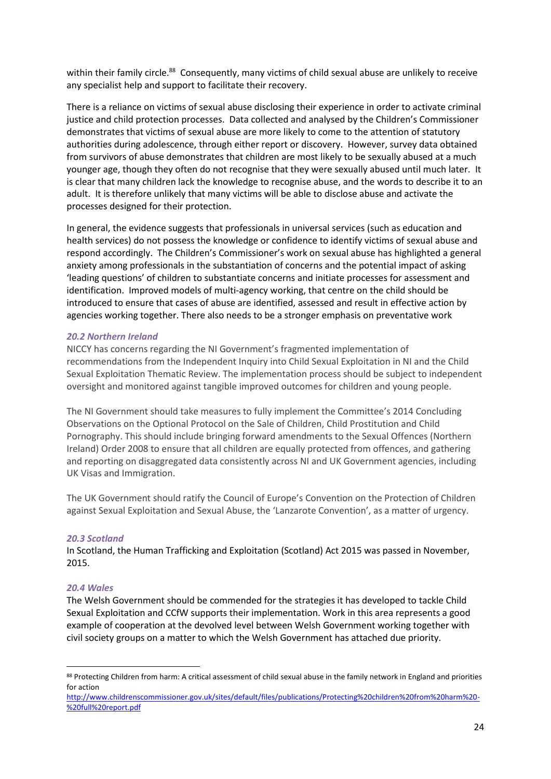within their family circle.<sup>88</sup> Consequently, many victims of child sexual abuse are unlikely to receive any specialist help and support to facilitate their recovery.

There is a reliance on victims of sexual abuse disclosing their experience in order to activate criminal justice and child protection processes. Data collected and analysed by the Children's Commissioner demonstrates that victims of sexual abuse are more likely to come to the attention of statutory authorities during adolescence, through either report or discovery. However, survey data obtained from survivors of abuse demonstrates that children are most likely to be sexually abused at a much younger age, though they often do not recognise that they were sexually abused until much later. It is clear that many children lack the knowledge to recognise abuse, and the words to describe it to an adult. It is therefore unlikely that many victims will be able to disclose abuse and activate the processes designed for their protection.

In general, the evidence suggests that professionals in universal services (such as education and health services) do not possess the knowledge or confidence to identify victims of sexual abuse and respond accordingly. The Children's Commissioner's work on sexual abuse has highlighted a general anxiety among professionals in the substantiation of concerns and the potential impact of asking 'leading questions' of children to substantiate concerns and initiate processes for assessment and identification. Improved models of multi-agency working, that centre on the child should be introduced to ensure that cases of abuse are identified, assessed and result in effective action by agencies working together. There also needs to be a stronger emphasis on preventative work

### *20.2 Northern Ireland*

NICCY has concerns regarding the NI Government's fragmented implementation of recommendations from the Independent Inquiry into Child Sexual Exploitation in NI and the Child Sexual Exploitation Thematic Review. The implementation process should be subject to independent oversight and monitored against tangible improved outcomes for children and young people.

The NI Government should take measures to fully implement the Committee's 2014 Concluding Observations on the Optional Protocol on the Sale of Children, Child Prostitution and Child Pornography. This should include bringing forward amendments to the Sexual Offences (Northern Ireland) Order 2008 to ensure that all children are equally protected from offences, and gathering and reporting on disaggregated data consistently across NI and UK Government agencies, including UK Visas and Immigration.

The UK Government should ratify the Council of Europe's Convention on the Protection of Children against Sexual Exploitation and Sexual Abuse, the 'Lanzarote Convention', as a matter of urgency.

### *20.3 Scotland*

In Scotland, the Human Trafficking and Exploitation (Scotland) Act 2015 was passed in November, 2015.

### *20.4 Wales*

1

The Welsh Government should be commended for the strategies it has developed to tackle Child Sexual Exploitation and CCfW supports their implementation. Work in this area represents a good example of cooperation at the devolved level between Welsh Government working together with civil society groups on a matter to which the Welsh Government has attached due priority.

<sup>88</sup> Protecting Children from harm: A critical assessment of child sexual abuse in the family network in England and priorities for action

[http://www.childrenscommissioner.gov.uk/sites/default/files/publications/Protecting%20children%20from%20harm%20-](http://www.childrenscommissioner.gov.uk/sites/default/files/publications/Protecting%20children%20from%20harm%20-%20full%20report.pdf) [%20full%20report.pdf](http://www.childrenscommissioner.gov.uk/sites/default/files/publications/Protecting%20children%20from%20harm%20-%20full%20report.pdf)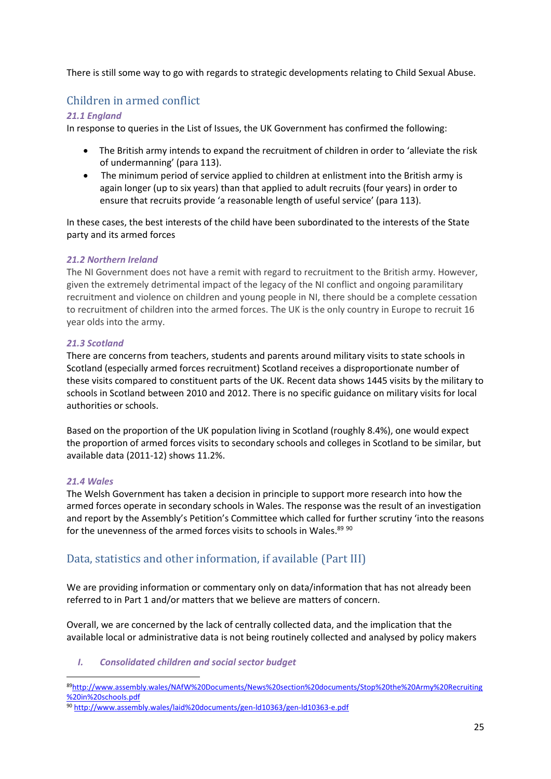There is still some way to go with regards to strategic developments relating to Child Sexual Abuse.

# <span id="page-24-0"></span>Children in armed conflict

# *21.1 England*

In response to queries in the List of Issues, the UK Government has confirmed the following:

- The British army intends to expand the recruitment of children in order to 'alleviate the risk of undermanning' (para 113).
- The minimum period of service applied to children at enlistment into the British army is again longer (up to six years) than that applied to adult recruits (four years) in order to ensure that recruits provide 'a reasonable length of useful service' (para 113).

In these cases, the best interests of the child have been subordinated to the interests of the State party and its armed forces

### *21.2 Northern Ireland*

The NI Government does not have a remit with regard to recruitment to the British army. However, given the extremely detrimental impact of the legacy of the NI conflict and ongoing paramilitary recruitment and violence on children and young people in NI, there should be a complete cessation to recruitment of children into the armed forces. The UK is the only country in Europe to recruit 16 year olds into the army.

### *21.3 Scotland*

There are concerns from teachers, students and parents around military visits to state schools in Scotland (especially armed forces recruitment) Scotland receives a disproportionate number of these visits compared to constituent parts of the UK. Recent data shows 1445 visits by the military to schools in Scotland between 2010 and 2012. There is no specific guidance on military visits for local authorities or schools.

Based on the proportion of the UK population living in Scotland (roughly 8.4%), one would expect the proportion of armed forces visits to secondary schools and colleges in Scotland to be similar, but available data (2011-12) shows 11.2%.

### *21.4 Wales*

The Welsh Government has taken a decision in principle to support more research into how the armed forces operate in secondary schools in Wales. The response was the result of an investigation and report by the Assembly's Petition's Committee which called for further scrutiny 'into the reasons for the unevenness of the armed forces visits to schools in Wales.<sup>89 90</sup>

# <span id="page-24-1"></span>Data, statistics and other information, if available (Part III)

We are providing information or commentary only on data/information that has not already been referred to in Part 1 and/or matters that we believe are matters of concern.

Overall, we are concerned by the lack of centrally collected data, and the implication that the available local or administrative data is not being routinely collected and analysed by policy makers

*I. Consolidated children and social sector budget*

<sup>1</sup> <sup>89</sup>[http://www.assembly.wales/NAfW%20Documents/News%20section%20documents/Stop%20the%20Army%20Recruiting](http://www.assembly.wales/NAfW%20Documents/News%20section%20documents/Stop%20the%20Army%20Recruiting%20in%20schools.pdf) [%20in%20schools.pdf](http://www.assembly.wales/NAfW%20Documents/News%20section%20documents/Stop%20the%20Army%20Recruiting%20in%20schools.pdf)

<sup>90</sup> <http://www.assembly.wales/laid%20documents/gen-ld10363/gen-ld10363-e.pdf>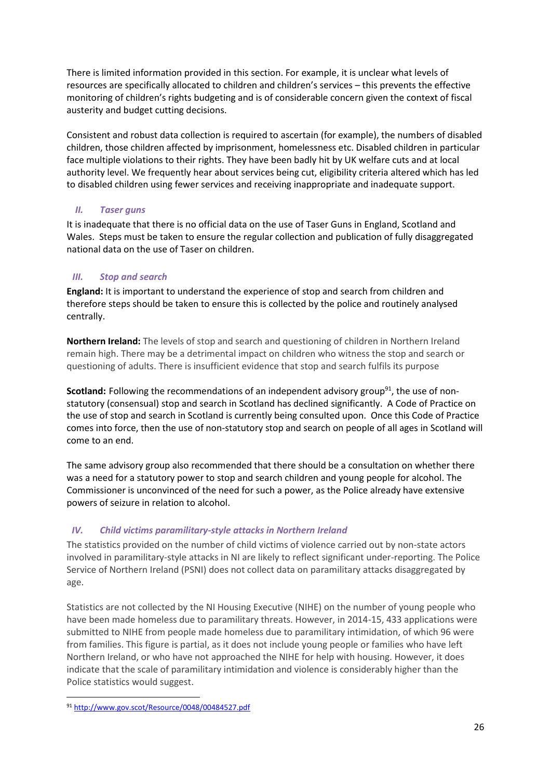There is limited information provided in this section. For example, it is unclear what levels of resources are specifically allocated to children and children's services – this prevents the effective monitoring of children's rights budgeting and is of considerable concern given the context of fiscal austerity and budget cutting decisions.

Consistent and robust data collection is required to ascertain (for example), the numbers of disabled children, those children affected by imprisonment, homelessness etc. Disabled children in particular face multiple violations to their rights. They have been badly hit by UK welfare cuts and at local authority level. We frequently hear about services being cut, eligibility criteria altered which has led to disabled children using fewer services and receiving inappropriate and inadequate support.

# *II. Taser guns*

It is inadequate that there is no official data on the use of Taser Guns in England, Scotland and Wales. Steps must be taken to ensure the regular collection and publication of fully disaggregated national data on the use of Taser on children.

# *III. Stop and search*

**England:** It is important to understand the experience of stop and search from children and therefore steps should be taken to ensure this is collected by the police and routinely analysed centrally.

**Northern Ireland:** The levels of stop and search and questioning of children in Northern Ireland remain high. There may be a detrimental impact on children who witness the stop and search or questioning of adults. There is insufficient evidence that stop and search fulfils its purpose

**Scotland:** Following the recommendations of an independent advisory group<sup>91</sup>, the use of nonstatutory (consensual) stop and search in Scotland has declined significantly. A Code of Practice on the use of stop and search in Scotland is currently being consulted upon. Once this Code of Practice comes into force, then the use of non-statutory stop and search on people of all ages in Scotland will come to an end.

The same advisory group also recommended that there should be a consultation on whether there was a need for a statutory power to stop and search children and young people for alcohol. The Commissioner is unconvinced of the need for such a power, as the Police already have extensive powers of seizure in relation to alcohol.

# *IV. Child victims paramilitary-style attacks in Northern Ireland*

The statistics provided on the number of child victims of violence carried out by non-state actors involved in paramilitary-style attacks in NI are likely to reflect significant under-reporting. The Police Service of Northern Ireland (PSNI) does not collect data on paramilitary attacks disaggregated by age.

Statistics are not collected by the NI Housing Executive (NIHE) on the number of young people who have been made homeless due to paramilitary threats. However, in 2014-15, 433 applications were submitted to NIHE from people made homeless due to paramilitary intimidation, of which 96 were from families. This figure is partial, as it does not include young people or families who have left Northern Ireland, or who have not approached the NIHE for help with housing. However, it does indicate that the scale of paramilitary intimidation and violence is considerably higher than the Police statistics would suggest.

**<sup>.</sup>** <sup>91</sup> <http://www.gov.scot/Resource/0048/00484527.pdf>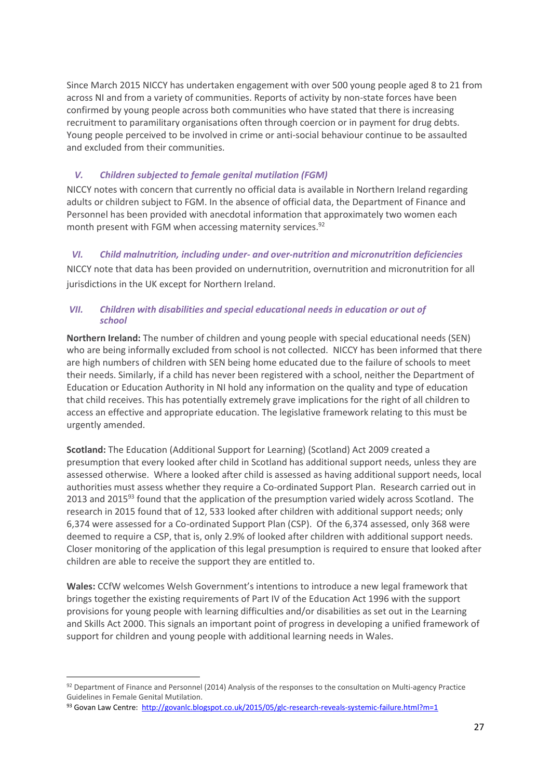Since March 2015 NICCY has undertaken engagement with over 500 young people aged 8 to 21 from across NI and from a variety of communities. Reports of activity by non-state forces have been confirmed by young people across both communities who have stated that there is increasing recruitment to paramilitary organisations often through coercion or in payment for drug debts. Young people perceived to be involved in crime or anti-social behaviour continue to be assaulted and excluded from their communities.

# *V. Children subjected to female genital mutilation (FGM)*

NICCY notes with concern that currently no official data is available in Northern Ireland regarding adults or children subject to FGM. In the absence of official data, the Department of Finance and Personnel has been provided with anecdotal information that approximately two women each month present with FGM when accessing maternity services.<sup>92</sup>

# *VI. Child malnutrition, including under- and over-nutrition and micronutrition deficiencies*

NICCY note that data has been provided on undernutrition, overnutrition and micronutrition for all jurisdictions in the UK except for Northern Ireland.

### *VII. Children with disabilities and special educational needs in education or out of school*

**Northern Ireland:** The number of children and young people with special educational needs (SEN) who are being informally excluded from school is not collected. NICCY has been informed that there are high numbers of children with SEN being home educated due to the failure of schools to meet their needs. Similarly, if a child has never been registered with a school, neither the Department of Education or Education Authority in NI hold any information on the quality and type of education that child receives. This has potentially extremely grave implications for the right of all children to access an effective and appropriate education. The legislative framework relating to this must be urgently amended.

**Scotland:** The Education (Additional Support for Learning) (Scotland) Act 2009 created a presumption that every looked after child in Scotland has additional support needs, unless they are assessed otherwise. Where a looked after child is assessed as having additional support needs, local authorities must assess whether they require a Co-ordinated Support Plan. Research carried out in 2013 and 2015<sup>93</sup> found that the application of the presumption varied widely across Scotland. The research in 2015 found that of 12, 533 looked after children with additional support needs; only 6,374 were assessed for a Co-ordinated Support Plan (CSP). Of the 6,374 assessed, only 368 were deemed to require a CSP, that is, only 2.9% of looked after children with additional support needs. Closer monitoring of the application of this legal presumption is required to ensure that looked after children are able to receive the support they are entitled to.

**Wales:** CCfW welcomes Welsh Government's intentions to introduce a new legal framework that brings together the existing requirements of Part IV of the Education Act 1996 with the support provisions for young people with learning difficulties and/or disabilities as set out in the Learning and Skills Act 2000. This signals an important point of progress in developing a unified framework of support for children and young people with additional learning needs in Wales.

1

<sup>92</sup> Department of Finance and Personnel (2014) Analysis of the responses to the consultation on Multi-agency Practice Guidelines in Female Genital Mutilation.

<sup>93</sup> Govan Law Centre:<http://govanlc.blogspot.co.uk/2015/05/glc-research-reveals-systemic-failure.html?m=1>